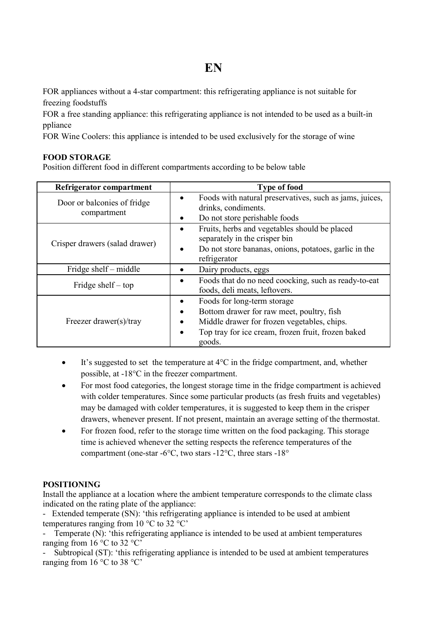# **EN**

FOR appliances without a 4-star compartment: this refrigerating appliance is not suitable for freezing foodstuffs

FOR a free standing appliance: this refrigerating appliance is not intended to be used as a built-in ppliance

FOR Wine Coolers: this appliance is intended to be used exclusively for the storage of wine

## **FOOD STORAGE**

Position different food in different compartments according to be below table

| Refrigerator compartment                   | <b>Type of food</b>                                                                                                                                                                                                    |
|--------------------------------------------|------------------------------------------------------------------------------------------------------------------------------------------------------------------------------------------------------------------------|
| Door or balconies of fridge<br>compartment | Foods with natural preservatives, such as jams, juices,<br>$\bullet$<br>drinks, condiments.<br>Do not store perishable foods<br>٠                                                                                      |
| Crisper drawers (salad drawer)             | Fruits, herbs and vegetables should be placed<br>٠<br>separately in the crisper bin<br>Do not store bananas, onions, potatoes, garlic in the<br>$\bullet$<br>refrigerator                                              |
| Fridge shelf – middle                      | Dairy products, eggs<br>٠                                                                                                                                                                                              |
| Fridge shelf $-$ top                       | Foods that do no need coocking, such as ready-to-eat<br>٠<br>foods, deli meats, leftovers.                                                                                                                             |
| Freezer drawer(s)/tray                     | Foods for long-term storage<br>$\bullet$<br>Bottom drawer for raw meet, poultry, fish<br>٠<br>Middle drawer for frozen vegetables, chips.<br>Top tray for ice cream, frozen fruit, frozen baked<br>$\bullet$<br>goods. |

- $\bullet$  It's suggested to set the temperature at  $4^{\circ}$ C in the fridge compartment, and, whether possible, at -18°C in the freezer compartment.
- For most food categories, the longest storage time in the fridge compartment is achieved with colder temperatures. Since some particular products (as fresh fruits and vegetables) may be damaged with colder temperatures, it is suggested to keep them in the crisper drawers, whenever present. If not present, maintain an average setting of the thermostat.
- For frozen food, refer to the storage time written on the food packaging. This storage time is achieved whenever the setting respects the reference temperatures of the compartment (one-star -6°C, two stars -12°C, three stars -18°

## **POSITIONING**

Install the appliance at a location where the ambient temperature corresponds to the climate class indicated on the rating plate of the appliance:

- Extended temperate (SN): 'this refrigerating appliance is intended to be used at ambient temperatures ranging from  $10^{\circ}$ C to  $32^{\circ}$ C'

Temperate (N): 'this refrigerating appliance is intended to be used at ambient temperatures ranging from  $16^{\circ}$ C to  $32^{\circ}$ C'

- Subtropical (ST): 'this refrigerating appliance is intended to be used at ambient temperatures ranging from 16 °C to 38 °C'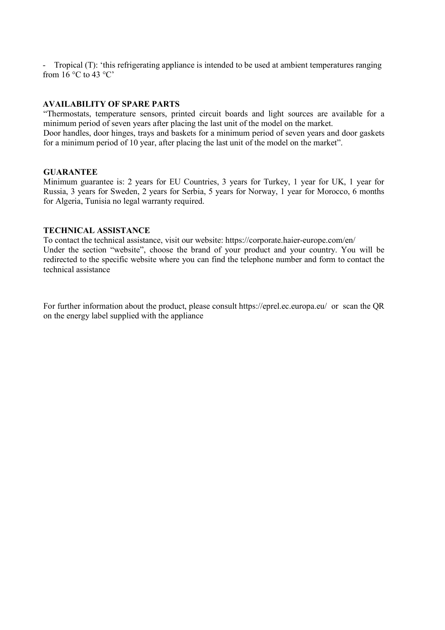- Tropical (T): 'this refrigerating appliance is intended to be used at ambient temperatures ranging from  $16^\circ \text{C}$  to  $43^\circ \text{C}$ 

### **AVAILABILITY OF SPARE PARTS**

"Thermostats, temperature sensors, printed circuit boards and light sources are available for a minimum period of seven years after placing the last unit of the model on the market. Door handles, door hinges, trays and baskets for a minimum period of seven years and door gaskets

for a minimum period of 10 year, after placing the last unit of the model on the market".

### **GUARANTEE**

Minimum guarantee is: 2 years for EU Countries, 3 years for Turkey, 1 year for UK, 1 year for Russia, 3 years for Sweden, 2 years for Serbia, 5 years for Norway, 1 year for Morocco, 6 months for Algeria, Tunisia no legal warranty required.

## **TECHNICAL ASSISTANCE**

To contact the technical assistance, visit our website: https://corporate.haier-europe.com/en/ Under the section "website", choose the brand of your product and your country. You will be redirected to the specific website where you can find the telephone number and form to contact the technical assistance

For further information about the product, please consult https://eprel.ec.europa.eu/ or scan the QR on the energy label supplied with the appliance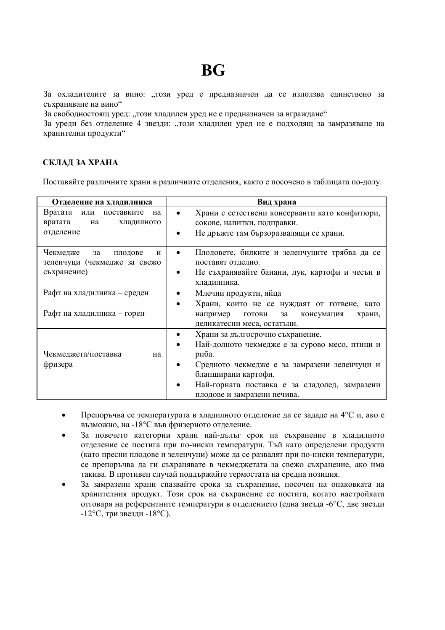# **BG**

За охладителите за вино: ..този уред е предназначен да се използва единствено за съхраняване на вино"

За свободностоящ уред: "този хладилен уред не е предназначен за вграждане"

За уреди без отделение 4 звезди: "този хладилен уред не е подходящ за замразяване на хранителни продукти"

## **СКЛАД ЗА ХРАНА**

Поставяйте различните храни в различните отделения, както е посочено в таблицата по-долу.

| Отделение на хладилника                                                       | Вид храна                                                                                                                                                                                                                                          |
|-------------------------------------------------------------------------------|----------------------------------------------------------------------------------------------------------------------------------------------------------------------------------------------------------------------------------------------------|
| Вратата или поставките<br>на<br>вратата<br>на<br>хладилното<br>отделение      | Храни с естествени консерванти като конфитюри,<br>сокове, напитки, подправки.<br>Не дръжте там бързоразвалящи се храни.                                                                                                                            |
| Чекмедже<br>за<br>плодове<br>И<br>зеленчуци (чекмедже за свежо<br>съхранение) | Плодовете, билките и зеленчуците трябва да се<br>٠<br>поставят отделно.<br>Не съхранявайте банани, лук, картофи и чесън в<br>хладилника.                                                                                                           |
| Рафт на хладилника - среден                                                   | Млечни продукти, яйца                                                                                                                                                                                                                              |
| Рафт на хладилника - горен                                                    | Храни, които не се нуждаят от готвене, като<br>٠<br>например<br>готови<br>за<br>консумация<br>храни,<br>деликатесни меса, остатьци.                                                                                                                |
| Чекмеджета/поставка<br>на<br>фризера                                          | Храни за дългосрочно съхранение.<br>Най-долното чекмедже е за сурово месо, птици и<br>риба.<br>Средното чекмедже е за замразени зеленчуци и<br>бланширани картофи.<br>Най-горната поставка е за сладолед, замразени<br>плодове и замразени печива. |

- Препоръчва се температурата в хладилното отделение да се зададе на 4°C и, ако е възможно, на -18°C във фризерното отделение.
- За повечето категории храни най-дълъг срок на съхранение в хладилното отделение се постига при по-ниски температури. Тъй като определени продукти (като пресни плодове и зеленчуци) може да се развалят при по-ниски температури, се препоръчва да ги съхранявате в чекмеджетата за свежо съхранение, ако има такива. В противен случай поддържайте термостата на средна позиция.
- За замразени храни спазвайте срока за съхранение, посочен на опаковката на хранителния продукт. Този срок на съхранение се постига, когато настройката отговаря на референтните температури в отделението (една звезда -6°C, две звезди -12°C, три звезди -18°C).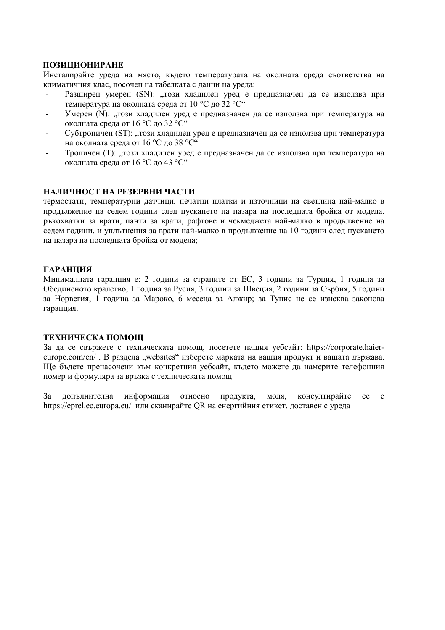## **ПОЗИЦИОНИРАНЕ**

Инсталирайте уреда на място, където температурата на околната среда съответства на климатичния клас, посочен на табелката с данни на уреда:

- Разширен умерен (SN): "този хладилен уред е предназначен да се използва при температура на околната среда от 10 °C до 32 °C"
- Умерен (N): "този хладилен уред е предназначен да се използва при температура на околната среда от 16 °C до 32 °C"
- Субтропичен (ST): "този хладилен уред е предназначен да се използва при температура на околната среда от 16 °C до 38 °C"
- Тропичен (Т): "този хладилен уред е предназначен да се използва при температура на околната среда от 16 °C до 43 °C"

### **НАЛИЧНОСТ НА РЕЗЕРВНИ ЧАСТИ**

термостати, температурни датчици, печатни платки и източници на светлина най-малко в продължение на седем години след пускането на пазара на последната бройка от модела. ръкохватки за врати, панти за врати, рафтове и чекмеджета най-малко в продължение на седем години, и уплътнения за врати най-малко в продължение на 10 години след пускането на пазара на последната бройка от модела;

## **ГАРАНЦИЯ**

Минималната гаранция е: 2 години за страните от ЕС, 3 години за Турция, 1 година за Обединеното кралство, 1 година за Русия, 3 години за Швеция, 2 години за Сърбия, 5 години за Норвегия, 1 година за Мароко, 6 месеца за Алжир; за Тунис не се изисква законова гаранция.

## **ТЕХНИЧЕСКА ПОМОЩ**

За да се свържете с техническата помощ, посетете нашия уебсайт: https://corporate.haiereurope.com/en/ . В раздела ..websites" изберете марката на вашия продукт и вашата държава. Ще бъдете пренасочени към конкретния уебсайт, където можете да намерите телефонния номер и формуляра за връзка с техническата помощ

За допълнителна информация относно продукта, моля, консултирайте се с https://eprel.ec.europa.eu/ или сканирайте QR на енергийния етикет, доставен с уреда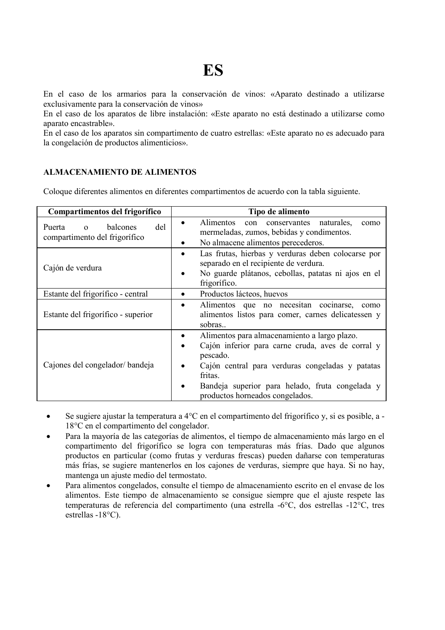En el caso de los armarios para la conservación de vinos: «Aparato destinado a utilizarse exclusivamente para la conservación de vinos»

En el caso de los aparatos de libre instalación: «Este aparato no está destinado a utilizarse como aparato encastrable».

En el caso de los aparatos sin compartimento de cuatro estrellas: «Este aparato no es adecuado para la congelación de productos alimenticios».

## **ALMACENAMIENTO DE ALIMENTOS**

Coloque diferentes alimentos en diferentes compartimentos de acuerdo con la tabla siguiente.

| Compartimentos del frigorífico                                         | Tipo de alimento                                                                                                                                                                                                                                                        |
|------------------------------------------------------------------------|-------------------------------------------------------------------------------------------------------------------------------------------------------------------------------------------------------------------------------------------------------------------------|
| del<br>balcones<br>Puerta<br>$\Omega$<br>compartimento del frigorífico | Alimentos<br>con conservantes naturales.<br>como<br>٠<br>mermeladas, zumos, bebidas y condimentos.<br>No almacene alimentos perecederos.                                                                                                                                |
| Cajón de verdura                                                       | Las frutas, hierbas y verduras deben colocarse por<br>٠<br>separado en el recipiente de verdura.<br>No guarde plátanos, cebollas, patatas ni ajos en el<br>frigorífico.                                                                                                 |
| Estante del frigorífico - central                                      | Productos lácteos, huevos<br>٠                                                                                                                                                                                                                                          |
| Estante del frigorífico - superior                                     | Alimentos que no necesitan cocinarse,<br>como<br>alimentos listos para comer, carnes delicatessen y<br>sobras                                                                                                                                                           |
| Cajones del congelador/bandeja                                         | Alimentos para almacenamiento a largo plazo.<br>Cajón inferior para carne cruda, aves de corral y<br>pescado.<br>Cajón central para verduras congeladas y patatas<br>fritas.<br>Bandeja superior para helado, fruta congelada y<br>٠<br>productos horneados congelados. |

- Se sugiere ajustar la temperatura a 4°C en el compartimento del frigorífico y, si es posible, a 18°C en el compartimento del congelador.
- Para la mayoría de las categorías de alimentos, el tiempo de almacenamiento más largo en el compartimento del frigorífico se logra con temperaturas más frías. Dado que algunos productos en particular (como frutas y verduras frescas) pueden dañarse con temperaturas más frías, se sugiere mantenerlos en los cajones de verduras, siempre que haya. Si no hay, mantenga un ajuste medio del termostato.
- Para alimentos congelados, consulte el tiempo de almacenamiento escrito en el envase de los alimentos. Este tiempo de almacenamiento se consigue siempre que el ajuste respete las temperaturas de referencia del compartimento (una estrella -6°C, dos estrellas -12°C, tres estrellas -18°C).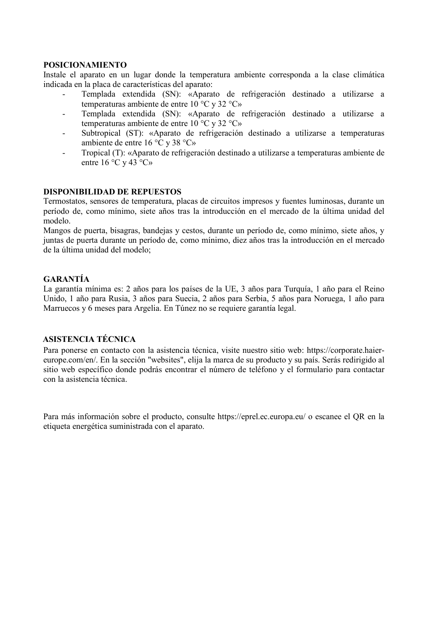## **POSICIONAMIENTO**

Instale el aparato en un lugar donde la temperatura ambiente corresponda a la clase climática indicada en la placa de características del aparato:

- Templada extendida (SN): «Aparato de refrigeración destinado a utilizarse a temperaturas ambiente de entre 10 °C y 32 °C»
- Templada extendida (SN): «Aparato de refrigeración destinado a utilizarse a temperaturas ambiente de entre 10 °C y 32 °C»
- Subtropical (ST): «Aparato de refrigeración destinado a utilizarse a temperaturas ambiente de entre 16 °C y 38 °C»
- Tropical (T): «Aparato de refrigeración destinado a utilizarse a temperaturas ambiente de entre 16 °C y 43 °C»

### **DISPONIBILIDAD DE REPUESTOS**

Termostatos, sensores de temperatura, placas de circuitos impresos y fuentes luminosas, durante un período de, como mínimo, siete años tras la introducción en el mercado de la última unidad del modelo.

Mangos de puerta, bisagras, bandejas y cestos, durante un período de, como mínimo, siete años, y juntas de puerta durante un período de, como mínimo, diez años tras la introducción en el mercado de la última unidad del modelo;

## **GARANTÍA**

La garantía mínima es: 2 años para los países de la UE, 3 años para Turquía, 1 año para el Reino Unido, 1 año para Rusia, 3 años para Suecia, 2 años para Serbia, 5 años para Noruega, 1 año para Marruecos y 6 meses para Argelia. En Túnez no se requiere garantía legal.

## **ASISTENCIA TÉCNICA**

Para ponerse en contacto con la asistencia técnica, visite nuestro sitio web: https://corporate.haiereurope.com/en/. En la sección "websites", elija la marca de su producto y su país. Serás redirigido al sitio web específico donde podrás encontrar el número de teléfono y el formulario para contactar con la asistencia técnica.

Para más información sobre el producto, consulte https://eprel.ec.europa.eu/ o escanee el QR en la etiqueta energética suministrada con el aparato.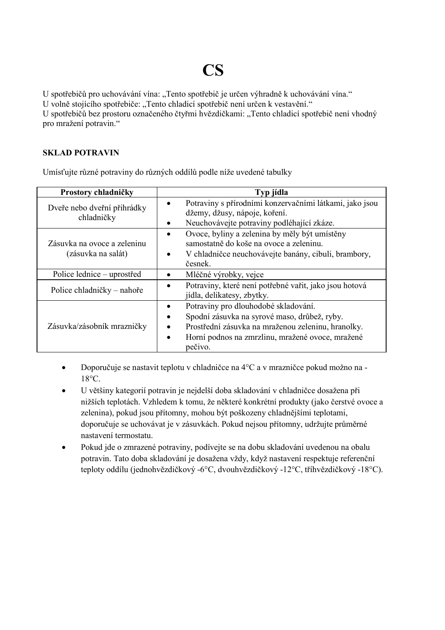# **CS**

U spotřebičů pro uchovávání vína: "Tento spotřebič je určen výhradně k uchovávání vína."

U volně stojícího spotřebiče: "Tento chladicí spotřebič není určen k vestavění."

U spotřebičů bez prostoru označeného čtyřmi hvězdičkami: "Tento chladicí spotřebič není vhodný pro mražení potravin."

## **SKLAD POTRAVIN**

Umísťujte různé potraviny do různých oddílů podle níže uvedené tabulky

| Prostory chladničky                               | Typ jídla                                                                                                                                                                                                 |
|---------------------------------------------------|-----------------------------------------------------------------------------------------------------------------------------------------------------------------------------------------------------------|
| Dveře nebo dveřní přihrádky<br>chladničky         | Potraviny s přírodními konzervačními látkami, jako jsou<br>džemy, džusy, nápoje, koření.<br>Neuchovávejte potraviny podléhající zkáze.                                                                    |
| Zásuvka na ovoce a zeleninu<br>(zásuvka na salát) | Ovoce, byliny a zelenina by měly být umístěny<br>samostatně do koše na ovoce a zeleninu.<br>V chladničce neuchovávejte banány, cibuli, brambory,<br>česnek.                                               |
| Police lednice - uprostřed                        | Mléčné výrobky, vejce                                                                                                                                                                                     |
| Police chladničky – nahoře                        | Potraviny, které není potřebné vařit, jako jsou hotová<br>jídla, delikatesy, zbytky.                                                                                                                      |
| Zásuvka/zásobník mrazničky                        | Potraviny pro dlouhodobé skladování.<br>Spodní zásuvka na syrové maso, drůbež, ryby.<br>Prostřední zásuvka na mraženou zeleninu, hranolky.<br>Horní podnos na zmrzlinu, mražené ovoce, mražené<br>pečivo. |

- Doporučuje se nastavit teplotu v chladničce na 4°C a v mrazničce pokud možno na 18°C.
- U většiny kategorií potravin je nejdelší doba skladování v chladničce dosažena při nižších teplotách. Vzhledem k tomu, že některé konkrétní produkty (jako čerstvé ovoce a zelenina), pokud jsou přítomny, mohou být poškozeny chladnějšími teplotami, doporučuje se uchovávat je v zásuvkách. Pokud nejsou přítomny, udržujte průměrné nastavení termostatu.
- Pokud jde o zmrazené potraviny, podívejte se na dobu skladování uvedenou na obalu potravin. Tato doba skladování je dosažena vždy, když nastavení respektuje referenční teploty oddílu (jednohvězdičkový -6°C, dvouhvězdičkový -12°C, tříhvězdičkový -18°C).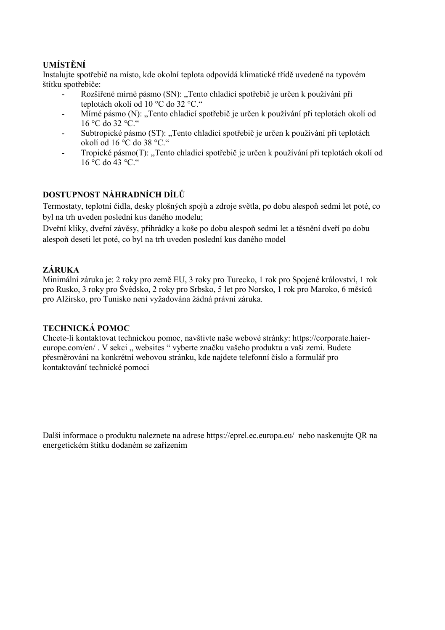# **UMÍSTĚNÍ**

Instalujte spotřebič na místo, kde okolní teplota odpovídá klimatické třídě uvedené na typovém štítku spotřebiče:

- Rozšířené mírné pásmo (SN): "Tento chladicí spotřebič je určen k používání při teplotách okolí od 10 °C do 32 °C."
- Mírné pásmo (N): "Tento chladicí spotřebič je určen k používání při teplotách okolí od  $16^{\circ}$ C do 32 °C."
- Subtropické pásmo (ST): "Tento chladicí spotřebič je určen k používání při teplotách okolí od 16 °C do 38 °C."
- Tropické pásmo(T): "Tento chladicí spotřebič je určen k používání při teplotách okolí od  $16 \, \text{°C}$  do  $43 \, \text{°C}$   $\text{°}$

# **DOSTUPNOST NÁHRADNÍCH DÍLŮ**

Termostaty, teplotní čidla, desky plošných spojů a zdroje světla, po dobu alespoň sedmi let poté, co byl na trh uveden poslední kus daného modelu;

Dveřní kliky, dveřní závěsy, přihrádky a koše po dobu alespoň sedmi let a těsnění dveří po dobu alespoň deseti let poté, co byl na trh uveden poslední kus daného model

# **ZÁRUKA**

Minimální záruka je: 2 roky pro země EU, 3 roky pro Turecko, 1 rok pro Spojené království, 1 rok pro Rusko, 3 roky pro Švédsko, 2 roky pro Srbsko, 5 let pro Norsko, 1 rok pro Maroko, 6 měsíců pro Alžírsko, pro Tunisko není vyžadována žádná právní záruka.

# **TECHNICKÁ POMOC**

Chcete-li kontaktovat technickou pomoc, navštivte naše webové stránky: https://corporate.haiereurope.com/en/. V sekci " websites " vyberte značku vašeho produktu a vaši zemi. Budete přesměrováni na konkrétní webovou stránku, kde najdete telefonní číslo a formulář pro kontaktování technické pomoci

Další informace o produktu naleznete na adrese https://eprel.ec.europa.eu/ nebo naskenujte QR na energetickém štítku dodaném se zařízením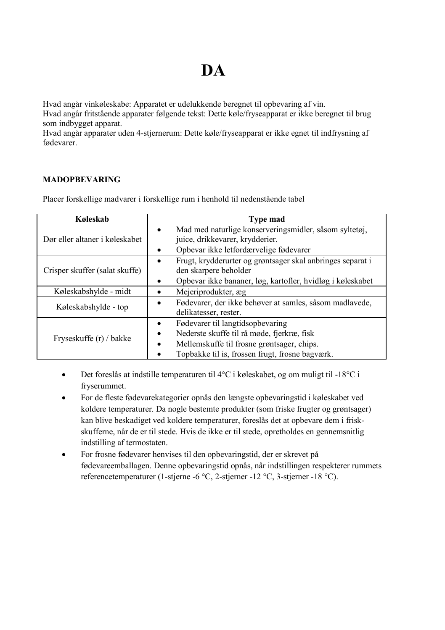# **DA**

Hvad angår vinkøleskabe: Apparatet er udelukkende beregnet til opbevaring af vin. Hvad angår fritstående apparater følgende tekst: Dette køle/fryseapparat er ikke beregnet til brug som indbygget apparat.

Hvad angår apparater uden 4-stjernerum: Dette køle/fryseapparat er ikke egnet til indfrysning af fødevarer.

# **MADOPBEVARING**

Placer forskellige madvarer i forskellige rum i henhold til nedenstående tabel

| Køleskab                       | <b>Type mad</b>                                            |
|--------------------------------|------------------------------------------------------------|
| Dør eller altaner i køleskabet | Mad med naturlige konserveringsmidler, såsom syltetøj,     |
|                                | juice, drikkevarer, krydderier.                            |
|                                | Opbevar ikke letfordærvelige fødevarer                     |
|                                | Frugt, krydderurter og grøntsager skal anbringes separat i |
| Crisper skuffer (salat skuffe) | den skarpere beholder                                      |
|                                | Opbevar ikke bananer, løg, kartofler, hvidløg i køleskabet |
| Køleskabshylde - midt          | Mejeriprodukter, æg                                        |
| Køleskabshylde - top           | Fødevarer, der ikke behøver at samles, såsom madlavede,    |
|                                | delikatesser, rester.                                      |
| Fryseskuffe (r) / bakke        | Fødevarer til langtidsopbevaring                           |
|                                | Nederste skuffe til rå møde, fjerkræ, fisk                 |
|                                | Mellemskuffe til frosne grøntsager, chips.                 |
|                                | Topbakke til is, frossen frugt, frosne bagværk.            |

- Det foreslås at indstille temperaturen til  $4^{\circ}$ C i køleskabet, og om muligt til -18 $^{\circ}$ C i fryserummet.
- For de fleste fødevarekategorier opnås den længste opbevaringstid i køleskabet ved koldere temperaturer. Da nogle bestemte produkter (som friske frugter og grøntsager) kan blive beskadiget ved koldere temperaturer, foreslås det at opbevare dem i friskskufferne, når de er til stede. Hvis de ikke er til stede, opretholdes en gennemsnitlig indstilling af termostaten.
- For frosne fødevarer henvises til den opbevaringstid, der er skrevet på fødevareemballagen. Denne opbevaringstid opnås, når indstillingen respekterer rummets referencetemperaturer (1-stjerne -6 °C, 2-stjerner -12 °C, 3-stjerner -18 °C).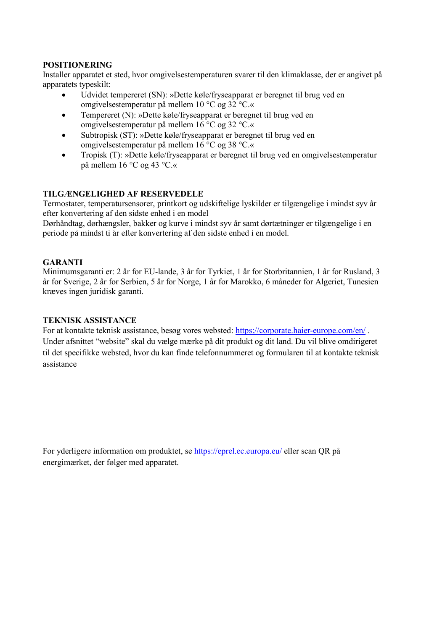## **POSITIONERING**

Installer apparatet et sted, hvor omgivelsestemperaturen svarer til den klimaklasse, der er angivet på apparatets typeskilt:

- Udvidet tempereret (SN): »Dette køle/fryseapparat er beregnet til brug ved en omgivelsestemperatur på mellem 10 °C og 32 °C.«
- Tempereret (N): »Dette køle/fryseapparat er beregnet til brug ved en omgivelsestemperatur på mellem 16 °C og 32 °C.«
- Subtropisk (ST): »Dette køle/fryseapparat er beregnet til brug ved en omgivelsestemperatur på mellem 16 °C og 38 °C.«
- Tropisk (T): »Dette køle/fryseapparat er beregnet til brug ved en omgivelsestemperatur på mellem 16 °C og 43 °C.«

## **TILGÆNGELIGHED AF RESERVEDELE**

Termostater, temperatursensorer, printkort og udskiftelige lyskilder er tilgængelige i mindst syv år efter konvertering af den sidste enhed i en model

Dørhåndtag, dørhængsler, bakker og kurve i mindst syv år samt dørtætninger er tilgængelige i en periode på mindst ti år efter konvertering af den sidste enhed i en model.

# **GARANTI**

Minimumsgaranti er: 2 år for EU-lande, 3 år for Tyrkiet, 1 år for Storbritannien, 1 år for Rusland, 3 år for Sverige, 2 år for Serbien, 5 år for Norge, 1 år for Marokko, 6 måneder for Algeriet, Tunesien kræves ingen juridisk garanti.

# **TEKNISK ASSISTANCE**

For at kontakte teknisk assistance, besøg vores websted: https://corporate.haier-europe.com/en/. Under afsnittet "website" skal du vælge mærke på dit produkt og dit land. Du vil blive omdirigeret til det specifikke websted, hvor du kan finde telefonnummeret og formularen til at kontakte teknisk assistance

For yderligere information om produktet, se https://eprel.ec.europa.eu/ eller scan QR på energimærket, der følger med apparatet.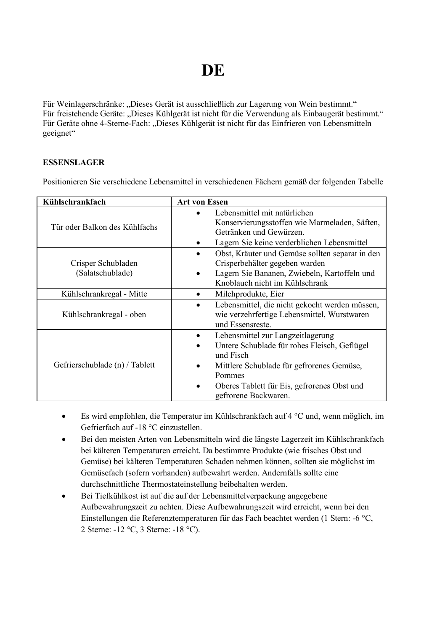# **DE**

Für Weinlagerschränke: "Dieses Gerät ist ausschließlich zur Lagerung von Wein bestimmt." Für freistehende Geräte: "Dieses Kühlgerät ist nicht für die Verwendung als Einbaugerät bestimmt." Für Geräte ohne 4-Sterne-Fach: "Dieses Kühlgerät ist nicht für das Einfrieren von Lebensmitteln geeignet"

## **ESSENSLAGER**

Positionieren Sie verschiedene Lebensmittel in verschiedenen Fächern gemäß der folgenden Tabelle

| Kühlschrankfach                        | <b>Art von Essen</b>                                                                                                                                                                                                                   |
|----------------------------------------|----------------------------------------------------------------------------------------------------------------------------------------------------------------------------------------------------------------------------------------|
| Tür oder Balkon des Kühlfachs          | Lebensmittel mit natürlichen<br>Konservierungsstoffen wie Marmeladen, Säften,<br>Getränken und Gewürzen.<br>Lagern Sie keine verderblichen Lebensmittel                                                                                |
| Crisper Schubladen<br>(Salatschublade) | Obst, Kräuter und Gemüse sollten separat in den<br>٠<br>Crisperbehälter gegeben warden<br>Lagern Sie Bananen, Zwiebeln, Kartoffeln und<br>Knoblauch nicht im Kühlschrank                                                               |
| Kühlschrankregal - Mitte               | Milchprodukte, Eier                                                                                                                                                                                                                    |
| Kühlschrankregal - oben                | Lebensmittel, die nicht gekocht werden müssen,<br>wie verzehrfertige Lebensmittel, Wurstwaren<br>und Essensreste.                                                                                                                      |
| Gefrierschublade (n) / Tablett         | Lebensmittel zur Langzeitlagerung<br>٠<br>Untere Schublade für rohes Fleisch, Geflügel<br>und Fisch<br>Mittlere Schublade für gefrorenes Gemüse,<br>Pommes<br>Oberes Tablett für Eis, gefrorenes Obst und<br>٠<br>gefrorene Backwaren. |

- Es wird empfohlen, die Temperatur im Kühlschrankfach auf 4 °C und, wenn möglich, im Gefrierfach auf -18 °C einzustellen.
- Bei den meisten Arten von Lebensmitteln wird die längste Lagerzeit im Kühlschrankfach bei kälteren Temperaturen erreicht. Da bestimmte Produkte (wie frisches Obst und Gemüse) bei kälteren Temperaturen Schaden nehmen können, sollten sie möglichst im Gemüsefach (sofern vorhanden) aufbewahrt werden. Andernfalls sollte eine durchschnittliche Thermostateinstellung beibehalten werden.
- Bei Tiefkühlkost ist auf die auf der Lebensmittelverpackung angegebene Aufbewahrungszeit zu achten. Diese Aufbewahrungszeit wird erreicht, wenn bei den Einstellungen die Referenztemperaturen für das Fach beachtet werden (1 Stern: -6 °C, 2 Sterne: -12 °C, 3 Sterne: -18 °C).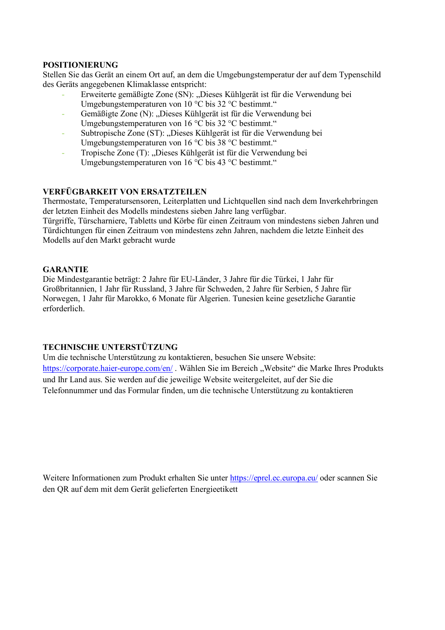## **POSITIONIERUNG**

Stellen Sie das Gerät an einem Ort auf, an dem die Umgebungstemperatur der auf dem Typenschild des Geräts angegebenen Klimaklasse entspricht:

- Erweiterte gemäßigte Zone (SN): "Dieses Kühlgerät ist für die Verwendung bei Umgebungstemperaturen von 10 °C bis 32 °C bestimmt."
- Gemäßigte Zone (N): "Dieses Kühlgerät ist für die Verwendung bei Umgebungstemperaturen von 16 °C bis 32 °C bestimmt."
- Subtropische Zone (ST): "Dieses Kühlgerät ist für die Verwendung bei Umgebungstemperaturen von 16 °C bis 38 °C bestimmt."
- Tropische Zone (T): "Dieses Kühlgerät ist für die Verwendung bei Umgebungstemperaturen von 16 °C bis 43 °C bestimmt."

## **VERFÜGBARKEIT VON ERSATZTEILEN**

Thermostate, Temperatursensoren, Leiterplatten und Lichtquellen sind nach dem Inverkehrbringen der letzten Einheit des Modells mindestens sieben Jahre lang verfügbar.

Türgriffe, Türscharniere, Tabletts und Körbe für einen Zeitraum von mindestens sieben Jahren und Türdichtungen für einen Zeitraum von mindestens zehn Jahren, nachdem die letzte Einheit des Modells auf den Markt gebracht wurde

## **GARANTIE**

Die Mindestgarantie beträgt: 2 Jahre für EU-Länder, 3 Jahre für die Türkei, 1 Jahr für Großbritannien, 1 Jahr für Russland, 3 Jahre für Schweden, 2 Jahre für Serbien, 5 Jahre für Norwegen, 1 Jahr für Marokko, 6 Monate für Algerien. Tunesien keine gesetzliche Garantie erforderlich.

## **TECHNISCHE UNTERSTÜTZUNG**

Um die technische Unterstützung zu kontaktieren, besuchen Sie unsere Website: https://corporate.haier-europe.com/en/ . Wählen Sie im Bereich "Website" die Marke Ihres Produkts und Ihr Land aus. Sie werden auf die jeweilige Website weitergeleitet, auf der Sie die Telefonnummer und das Formular finden, um die technische Unterstützung zu kontaktieren

Weitere Informationen zum Produkt erhalten Sie unter https://eprel.ec.europa.eu/ oder scannen Sie den QR auf dem mit dem Gerät gelieferten Energieetikett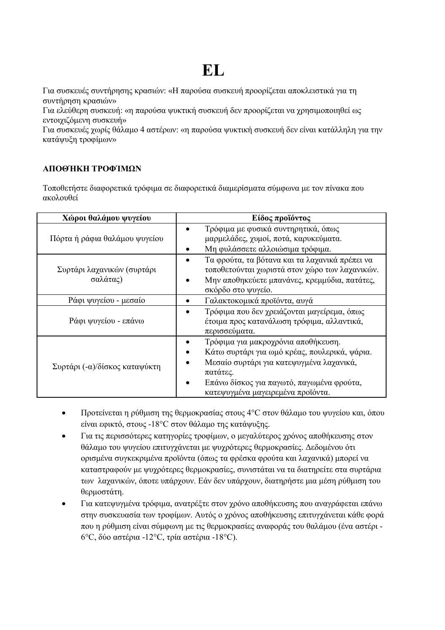# **EL**

Για συσκευές συντήρησης κρασιών: «Η παρούσα συσκευή προορίζεται αποκλειστικά για τη συντήρηση κρασιών»

Για ελεύθερη συσκευή: «η παρούσα ψυκτική συσκευή δεν προορίζεται να χρησιμοποιηθεί ως εντοιχιζόμενη συσκευή»

Για συσκευές χωρίς θάλαμο 4 αστέρων: «η παρούσα ψυκτική συσκευή δεν είναι κατάλληλη για την κατάψυξη τροφίμων»

## **ΑΠΟΘΉΚΗ ΤΡΟΦΊΜΩΝ**

Τοποθετήστε διαφορετικά τρόφιμα σε διαφορετικά διαμερίσματα σύμφωνα με τον πίνακα που ακολουθεί

| Χώροι θαλάμου ψυγείου                  | Είδος προϊόντος                                                                                                                                                                                                                |
|----------------------------------------|--------------------------------------------------------------------------------------------------------------------------------------------------------------------------------------------------------------------------------|
| Πόρτα ή ράφια θαλάμου ψυγείου          | Τρόφιμα με φυσικά συντηρητικά, όπως<br>μαρμελάδες, χυμοί, ποτά, καρυκεύματα.<br>Μη φυλάσσετε αλλοιώσιμα τρόφιμα.                                                                                                               |
| Συρτάρι λαχανικών (συρτάρι<br>σαλάτας) | Τα φρούτα, τα βότανα και τα λαχανικά πρέπει να<br>τοποθετούνται χωριστά στον χώρο των λαχανικών.<br>Μην αποθηκεύετε μπανάνες, κρεμμύδια, πατάτες,<br>σκόρδο στο ψυγείο.                                                        |
| Ράφι ψυγείου - μεσαίο                  | Γαλακτοκομικά προϊόντα, αυγά                                                                                                                                                                                                   |
| Ράφι ψυγείου - επάνω                   | Τρόφιμα που δεν χρειάζονται μαγείρεμα, όπως<br>έτοιμα προς κατανάλωση τρόφιμα, αλλαντικά,<br>περισσεύματα.                                                                                                                     |
| Συρτάρι (-α)/δίσκος καταψύκτη          | Τρόφιμα για μακροχρόνια αποθήκευση.<br>Κάτω συρτάρι για ωμό κρέας, πουλερικά, ψάρια.<br>Μεσαίο συρτάρι για κατεψυγμένα λαχανικά,<br>πατάτες.<br>Επάνω δίσκος για παγωτό, παγωμένα φρούτα,<br>κατεψυγμένα μαγειρεμένα προϊόντα. |

- Προτείνεται η ρύθμιση της θερμοκρασίας στους 4°C στον θάλαμο του ψυγείου και, όπου είναι εφικτό, στους -18°C στον θάλαμο της κατάψυξης.
- Για τις περισσότερες κατηγορίες τροφίμων, ο μεγαλύτερος χρόνος αποθήκευσης στον θάλαμο του ψυγείου επιτυγχάνεται με ψυχρότερες θερμοκρασίες. Δεδομένου ότι ορισμένα συγκεκριμένα προϊόντα (όπως τα φρέσκα φρούτα και λαχανικά) μπορεί να καταστραφούν με ψυχρότερες θερμοκρασίες, συνιστάται να τα διατηρείτε στα συρτάρια των λαχανικών, όποτε υπάρχουν. Εάν δεν υπάρχουν, διατηρήστε μια μέση ρύθμιση του θερμοστάτη.
- Για κατεψυγμένα τρόφιμα, ανατρέξτε στον χρόνο αποθήκευσης που αναγράφεται επάνω στην συσκευασία των τροφίμων. Αυτός ο χρόνος αποθήκευσης επιτυγχάνεται κάθε φορά που η ρύθμιση είναι σύμφωνη με τις θερμοκρασίες αναφοράς του θαλάμου (ένα αστέρι - 6°C, δύο αστέρια -12°C, τρία αστέρια -18°C).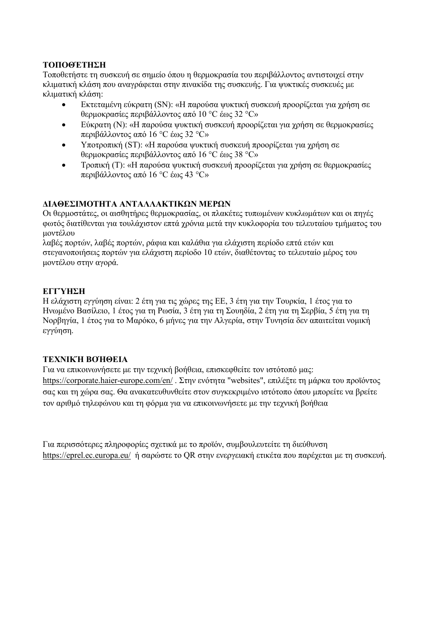## **ΤΟΠΟΘΈΤΗΣΗ**

Τοποθετήστε τη συσκευή σε σημείο όπου η θερμοκρασία του περιβάλλοντος αντιστοιχεί στην κλιματική κλάση που αναγράφεται στην πινακίδα της συσκευής. Για ψυκτικές συσκευές με κλιματική κλάση:

- Εκτεταμένη εύκρατη (SN): «Η παρούσα ψυκτική συσκευή προορίζεται για χρήση σε θερμοκρασίες περιβάλλοντος από 10 °C έως 32 °C»
- Εύκρατη (N): «Η παρούσα ψυκτική συσκευή προορίζεται για χρήση σε θερμοκρασίες περιβάλλοντος από 16 °C έως 32 °C»
- Υποτροπική (ST): «Η παρούσα ψυκτική συσκευή προορίζεται για χρήση σε θερμοκρασίες περιβάλλοντος από 16 °C έως 38 °C»
- Τροπική (T): «Η παρούσα ψυκτική συσκευή προορίζεται για χρήση σε θερμοκρασίες περιβάλλοντος από 16 °C έως 43 °C»

## **ΔΙΑΘΕΣΙΜΟΤΗΤΑ ΑΝΤΑΛΛΑΚΤΙΚΩΝ ΜΕΡΩΝ**

Οι θερμοστάτες, οι αισθητήρες θερμοκρασίας, οι πλακέτες τυπωμένων κυκλωμάτων και οι πηγές φωτός διατίθενται για τουλάχιστον επτά χρόνια μετά την κυκλοφορία του τελευταίου τμήματος του μοντέλου

λαβές πορτών, λαβές πορτών, ράφια και καλάθια για ελάχιστη περίοδο επτά ετών και στεγανοποιήσεις πορτών για ελάχιστη περίοδο 10 ετών, διαθέτοντας το τελευταίο μέρος του μοντέλου στην αγορά.

# **ΕΓΓΎΗΣΗ**

Η ελάχιστη εγγύηση είναι: 2 έτη για τις χώρες της ΕΕ, 3 έτη για την Τουρκία, 1 έτος για το Ηνωμένο Βασίλειο, 1 έτος για τη Ρωσία, 3 έτη για τη Σουηδία, 2 έτη για τη Σερβία, 5 έτη για τη Νορβηγία, 1 έτος για το Μαρόκο, 6 μήνες για την Αλγερία, στην Τυνησία δεν απαιτείται νομική εγγύηση.

## **ΤΕΧΝΙΚΉ ΒΟΉΘΕΙΑ**

Για να επικοινωνήσετε με την τεχνική βοήθεια, επισκεφθείτε τον ιστότοπό μας: https://corporate.haier-europe.com/en/ . Στην ενότητα "websites", επιλέξτε τη μάρκα του προϊόντος σας και τη χώρα σας. Θα ανακατευθυνθείτε στον συγκεκριμένο ιστότοπο όπου μπορείτε να βρείτε τον αριθμό τηλεφώνου και τη φόρμα για να επικοινωνήσετε με την τεχνική βοήθεια

Για περισσότερες πληροφορίες σχετικά με το προϊόν, συμβουλευτείτε τη διεύθυνση https://eprel.ec.europa.eu/ ή σαρώστε το QR στην ενεργειακή ετικέτα που παρέχεται με τη συσκευή.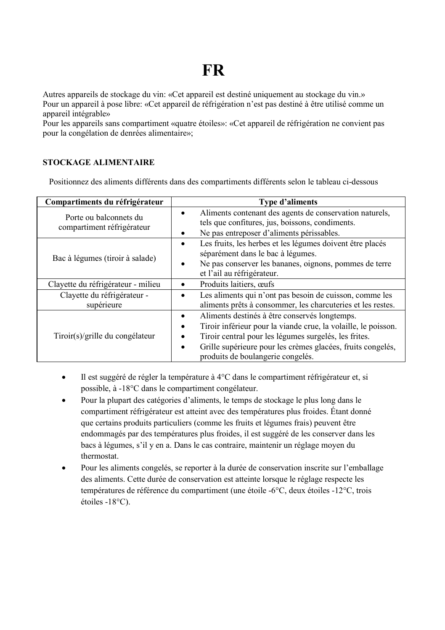# **FR**

Autres appareils de stockage du vin: «Cet appareil est destiné uniquement au stockage du vin.» Pour un appareil à pose libre: «Cet appareil de réfrigération n'est pas destiné à être utilisé comme un appareil intégrable»

Pour les appareils sans compartiment «quatre étoiles»: «Cet appareil de réfrigération ne convient pas pour la congélation de denrées alimentaire»;

## **STOCKAGE ALIMENTAIRE**

Positionnez des aliments différents dans des compartiments différents selon le tableau ci-dessous

| Compartiments du réfrigérateur                       | Type d'aliments                                                                                                                                                                                                                                                                                     |
|------------------------------------------------------|-----------------------------------------------------------------------------------------------------------------------------------------------------------------------------------------------------------------------------------------------------------------------------------------------------|
| Porte ou balconnets du<br>compartiment réfrigérateur | Aliments contenant des agents de conservation naturels,<br>٠<br>tels que confitures, jus, boissons, condiments.<br>Ne pas entreposer d'aliments périssables.                                                                                                                                        |
| Bac à légumes (tiroir à salade)                      | Les fruits, les herbes et les légumes doivent être placés<br>٠<br>séparément dans le bac à légumes.<br>Ne pas conserver les bananes, oignons, pommes de terre<br>٠<br>et l'ail au réfrigérateur.                                                                                                    |
| Clayette du réfrigérateur - milieu                   | Produits laitiers, œufs<br>٠                                                                                                                                                                                                                                                                        |
| Clayette du réfrigérateur -<br>supérieure            | Les aliments qui n'ont pas besoin de cuisson, comme les<br>٠<br>aliments prêts à consommer, les charcuteries et les restes.                                                                                                                                                                         |
| Tiroir(s)/grille du congélateur                      | Aliments destinés à être conservés longtemps.<br>Tiroir inférieur pour la viande crue, la volaille, le poisson.<br>٠<br>Tiroir central pour les légumes surgelés, les frites.<br>٠<br>Grille supérieure pour les crèmes glacées, fruits congelés,<br>$\bullet$<br>produits de boulangerie congelés. |

- Il est suggéré de régler la température à 4°C dans le compartiment réfrigérateur et, si possible, à -18°C dans le compartiment congélateur.
- Pour la plupart des catégories d'aliments, le temps de stockage le plus long dans le compartiment réfrigérateur est atteint avec des températures plus froides. Étant donné que certains produits particuliers (comme les fruits et légumes frais) peuvent être endommagés par des températures plus froides, il est suggéré de les conserver dans les bacs à légumes, s'il y en a. Dans le cas contraire, maintenir un réglage moyen du thermostat.
- Pour les aliments congelés, se reporter à la durée de conservation inscrite sur l'emballage des aliments. Cette durée de conservation est atteinte lorsque le réglage respecte les températures de référence du compartiment (une étoile -6°C, deux étoiles -12°C, trois étoiles -18°C).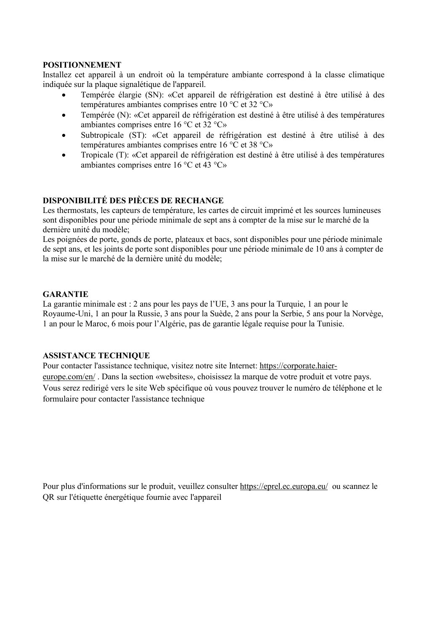## **POSITIONNEMENT**

Installez cet appareil à un endroit où la température ambiante correspond à la classe climatique indiquée sur la plaque signalétique de l'appareil.

- Tempérée élargie (SN): «Cet appareil de réfrigération est destiné à être utilisé à des températures ambiantes comprises entre 10 °C et 32 °C»
- Tempérée (N): «Cet appareil de réfrigération est destiné à être utilisé à des températures ambiantes comprises entre 16 °C et 32 °C»
- Subtropicale (ST): «Cet appareil de réfrigération est destiné à être utilisé à des températures ambiantes comprises entre 16 °C et 38 °C»
- Tropicale (T): «Cet appareil de réfrigération est destiné à être utilisé à des températures ambiantes comprises entre 16 °C et 43 °C»

# **DISPONIBILITÉ DES PIÈCES DE RECHANGE**

Les thermostats, les capteurs de température, les cartes de circuit imprimé et les sources lumineuses sont disponibles pour une période minimale de sept ans à compter de la mise sur le marché de la dernière unité du modèle;

Les poignées de porte, gonds de porte, plateaux et bacs, sont disponibles pour une période minimale de sept ans, et les joints de porte sont disponibles pour une période minimale de 10 ans à compter de la mise sur le marché de la dernière unité du modèle;

## **GARANTIE**

La garantie minimale est : 2 ans pour les pays de l'UE, 3 ans pour la Turquie, 1 an pour le Royaume-Uni, 1 an pour la Russie, 3 ans pour la Suède, 2 ans pour la Serbie, 5 ans pour la Norvège, 1 an pour le Maroc, 6 mois pour l'Algérie, pas de garantie légale requise pour la Tunisie.

### **ASSISTANCE TECHNIQUE**

Pour contacter l'assistance technique, visitez notre site Internet: https://corporate.haiereurope.com/en/ . Dans la section «websites», choisissez la marque de votre produit et votre pays. Vous serez redirigé vers le site Web spécifique où vous pouvez trouver le numéro de téléphone et le formulaire pour contacter l'assistance technique

Pour plus d'informations sur le produit, veuillez consulter https://eprel.ec.europa.eu/ ou scannez le QR sur l'étiquette énergétique fournie avec l'appareil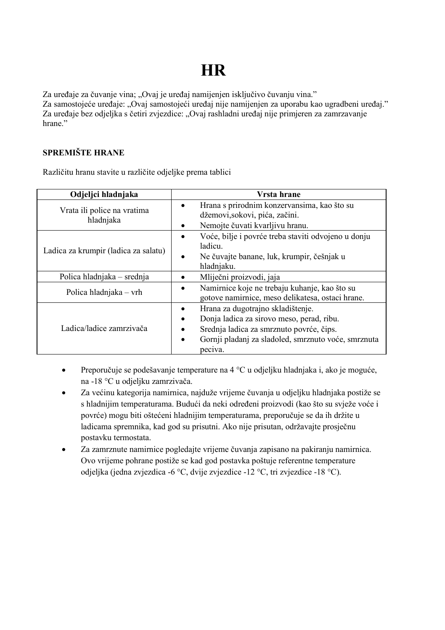# **HR**

Za uređaje za čuvanje vina; "Ovaj je uređaj namijenjen isključivo čuvanju vina." Za samostojeće uređaje: "Ovaj samostojeći uređaj nije namijenjen za uporabu kao ugradbeni uređaj." Za uređaje bez odjeljka s četiri zvjezdice: "Ovaj rashladni uređaj nije primjeren za zamrzavanje hrane"

# **SPREMIŠTE HRANE**

Različitu hranu stavite u različite odjeljke prema tablici

| Odjeljci hladnjaka                       | Vrsta hrane                                                                                                                                                                                  |
|------------------------------------------|----------------------------------------------------------------------------------------------------------------------------------------------------------------------------------------------|
| Vrata ili police na vratima<br>hladnjaka | Hrana s prirodnim konzervansima, kao što su<br>džemovi, sokovi, pića, začini.<br>Nemojte čuvati kvarljivu hranu.                                                                             |
| Ladica za krumpir (ladica za salatu)     | Voće, bilje i povrće treba staviti odvojeno u donju<br>ladicu.<br>Ne čuvajte banane, luk, krumpir, češnjak u<br>٠<br>hladnjaku.                                                              |
| Polica hladnjaka – srednja               | Mliječni proizvodi, jaja                                                                                                                                                                     |
| Polica hladnjaka - vrh                   | Namirnice koje ne trebaju kuhanje, kao što su<br>gotove namirnice, meso delikatesa, ostaci hrane.                                                                                            |
| Ladica/ladice zamrzivača                 | Hrana za dugotrajno skladištenje.<br>Donja ladica za sirovo meso, perad, ribu.<br>Srednja ladica za smrznuto povrće, čips.<br>Gornji pladanj za sladoled, smrznuto voće, smrznuta<br>peciva. |

- Preporučuje se podešavanje temperature na 4 °C u odjeljku hladnjaka i, ako je moguće, na -18 °C u odjeljku zamrzivača.
- Za većinu kategorija namirnica, najduže vrijeme čuvanja u odjeljku hladnjaka postiže se s hladnijim temperaturama. Budući da neki određeni proizvodi (kao što su svježe voće i povrće) mogu biti oštećeni hladnijim temperaturama, preporučuje se da ih držite u ladicama spremnika, kad god su prisutni. Ako nije prisutan, održavajte prosječnu postavku termostata.
- Za zamrznute namirnice pogledajte vrijeme čuvanja zapisano na pakiranju namirnica. Ovo vrijeme pohrane postiže se kad god postavka poštuje referentne temperature odjeljka (jedna zvjezdica -6 °C, dvije zvjezdice -12 °C, tri zvjezdice -18 °C).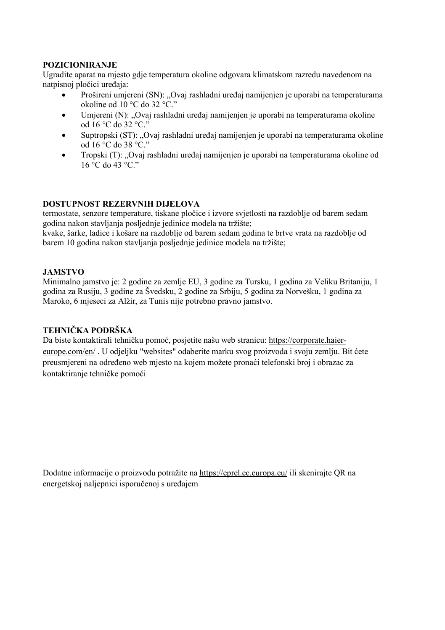## **POZICIONIRANJE**

Ugradite aparat na mjesto gdje temperatura okoline odgovara klimatskom razredu navedenom na natpisnoj pločici uređaja:

- Prošireni umjereni (SN): "Ovaj rashladni uređaj namijenjen je uporabi na temperaturama okoline od 10 °C do 32 °C."
- Umiereni (N): "Ovaj rashladni uređaj namijenjen je uporabi na temperaturama okoline od 16 °C do 32 °C."
- Suptropski (ST): "Ovaj rashladni uređaj namijenjen je uporabi na temperaturama okoline od 16 °C do 38 °C."
- Tropski (T): "Ovaj rashladni uređaj namijenjen je uporabi na temperaturama okoline od 16 °C do 43 °C."

## **DOSTUPNOST REZERVNIH DIJELOVA**

termostate, senzore temperature, tiskane pločice i izvore svjetlosti na razdoblje od barem sedam godina nakon stavljanja posljednje jedinice modela na tržište;

kvake, šarke, ladice i košare na razdoblje od barem sedam godina te brtve vrata na razdoblje od barem 10 godina nakon stavljanja posljednje jedinice modela na tržište;

## **JAMSTVO**

Minimalno jamstvo je: 2 godine za zemlje EU, 3 godine za Tursku, 1 godina za Veliku Britaniju, 1 godina za Rusiju, 3 godine za Švedsku, 2 godine za Srbiju, 5 godina za Norvešku, 1 godina za Maroko, 6 mjeseci za Alžir, za Tunis nije potrebno pravno jamstvo.

## **TEHNIČKA PODRŠKA**

Da biste kontaktirali tehničku pomoć, posjetite našu web stranicu: https://corporate.haiereurope.com/en/ . U odjeljku "websites" odaberite marku svog proizvoda i svoju zemlju. Bit ćete preusmjereni na određeno web mjesto na kojem možete pronaći telefonski broj i obrazac za kontaktiranje tehničke pomoći

Dodatne informacije o proizvodu potražite na https://eprel.ec.europa.eu/ ili skenirajte QR na energetskoj naljepnici isporučenoj s uređajem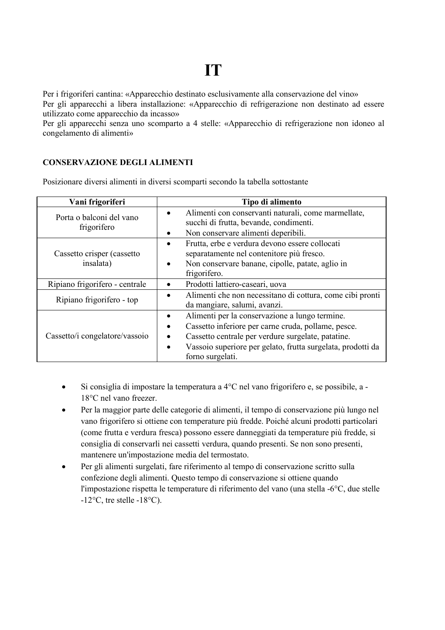# **IT**

Per i frigoriferi cantina: «Apparecchio destinato esclusivamente alla conservazione del vino» Per gli apparecchi a libera installazione: «Apparecchio di refrigerazione non destinato ad essere utilizzato come apparecchio da incasso»

Per gli apparecchi senza uno scomparto a 4 stelle: «Apparecchio di refrigerazione non idoneo al congelamento di alimenti»

## **CONSERVAZIONE DEGLI ALIMENTI**

Posizionare diversi alimenti in diversi scomparti secondo la tabella sottostante

| Vani frigoriferi                        | Tipo di alimento                                                                                                                                                                                                                               |
|-----------------------------------------|------------------------------------------------------------------------------------------------------------------------------------------------------------------------------------------------------------------------------------------------|
| Porta o balconi del vano<br>frigorifero | Alimenti con conservanti naturali, come marmellate,<br>succhi di frutta, bevande, condimenti.<br>Non conservare alimenti deperibili.                                                                                                           |
| Cassetto crisper (cassetto<br>insalata) | Frutta, erbe e verdura devono essere collocati<br>separatamente nel contenitore più fresco.<br>Non conservare banane, cipolle, patate, aglio in<br>frigorifero.                                                                                |
| Ripiano frigorifero - centrale          | Prodotti lattiero-caseari, uova                                                                                                                                                                                                                |
| Ripiano frigorifero - top               | Alimenti che non necessitano di cottura, come cibi pronti<br>da mangiare, salumi, avanzi.                                                                                                                                                      |
| Cassetto/i congelatore/vassoio          | Alimenti per la conservazione a lungo termine.<br>Cassetto inferiore per carne cruda, pollame, pesce.<br>Cassetto centrale per verdure surgelate, patatine.<br>Vassoio superiore per gelato, frutta surgelata, prodotti da<br>forno surgelati. |

- Si consiglia di impostare la temperatura a 4°C nel vano frigorifero e, se possibile, a 18°C nel vano freezer.
- Per la maggior parte delle categorie di alimenti, il tempo di conservazione più lungo nel vano frigorifero si ottiene con temperature più fredde. Poiché alcuni prodotti particolari (come frutta e verdura fresca) possono essere danneggiati da temperature più fredde, si consiglia di conservarli nei cassetti verdura, quando presenti. Se non sono presenti, mantenere un'impostazione media del termostato.
- Per gli alimenti surgelati, fare riferimento al tempo di conservazione scritto sulla confezione degli alimenti. Questo tempo di conservazione si ottiene quando l'impostazione rispetta le temperature di riferimento del vano (una stella -6°C, due stelle  $-12$ °C, tre stelle  $-18$ °C).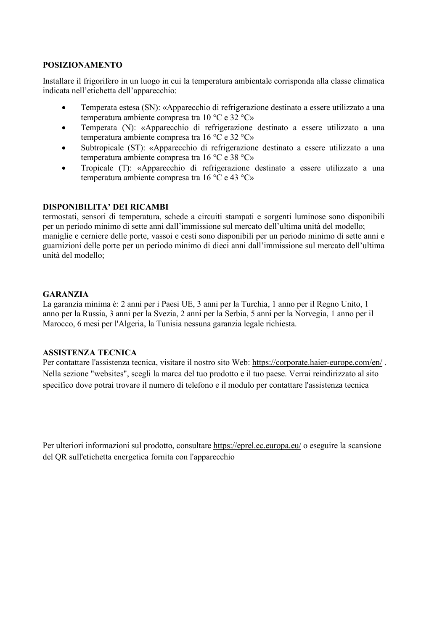# **POSIZIONAMENTO**

Installare il frigorifero in un luogo in cui la temperatura ambientale corrisponda alla classe climatica indicata nell'etichetta dell'apparecchio:

- Temperata estesa (SN): «Apparecchio di refrigerazione destinato a essere utilizzato a una temperatura ambiente compresa tra 10 °C e 32 °C»
- Temperata (N): «Apparecchio di refrigerazione destinato a essere utilizzato a una temperatura ambiente compresa tra 16 °C e 32 °C»
- Subtropicale (ST): «Apparecchio di refrigerazione destinato a essere utilizzato a una temperatura ambiente compresa tra 16 °C e 38 °C»
- Tropicale (T): «Apparecchio di refrigerazione destinato a essere utilizzato a una temperatura ambiente compresa tra 16 °C e 43 °C»

## **DISPONIBILITA' DEI RICAMBI**

termostati, sensori di temperatura, schede a circuiti stampati e sorgenti luminose sono disponibili per un periodo minimo di sette anni dall'immissione sul mercato dell'ultima unità del modello; maniglie e cerniere delle porte, vassoi e cesti sono disponibili per un periodo minimo di sette anni e guarnizioni delle porte per un periodo minimo di dieci anni dall'immissione sul mercato dell'ultima unità del modello;

## **GARANZIA**

La garanzia minima è: 2 anni per i Paesi UE, 3 anni per la Turchia, 1 anno per il Regno Unito, 1 anno per la Russia, 3 anni per la Svezia, 2 anni per la Serbia, 5 anni per la Norvegia, 1 anno per il Marocco, 6 mesi per l'Algeria, la Tunisia nessuna garanzia legale richiesta.

## **ASSISTENZA TECNICA**

Per contattare l'assistenza tecnica, visitare il nostro sito Web: https://corporate.haier-europe.com/en/ . Nella sezione "websites", scegli la marca del tuo prodotto e il tuo paese. Verrai reindirizzato al sito specifico dove potrai trovare il numero di telefono e il modulo per contattare l'assistenza tecnica

Per ulteriori informazioni sul prodotto, consultare https://eprel.ec.europa.eu/ o eseguire la scansione del QR sull'etichetta energetica fornita con l'apparecchio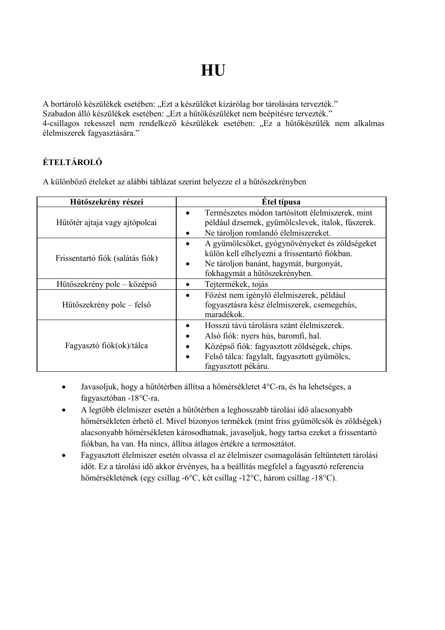**HU**

A bortároló készülékek esetében: "Ezt a készüléket kizárólag bor tárolására tervezték." Szabadon álló készülékek esetében: "Ezt a hűtőkészüléket nem beépítésre tervezték." 4-csillagos rekesszel nem rendelkező készülékek esetében: "Ez a hűtőkészülék nem alkalmas élelmiszerek fagyasztására."

# **ÉTELTÁROLÓ**

A különböző ételeket az alábbi táblázat szerint helyezze el a hűtőszekrényben

| Hűtőszekrény részei                                             | Étel típusa                                                                                                                                                                                            |
|-----------------------------------------------------------------|--------------------------------------------------------------------------------------------------------------------------------------------------------------------------------------------------------|
| Hűtőtér ajtaja vagy ajtópolcai                                  | Természetes módon tartósított élelmiszerek, mint<br>például dzsemek, gyümölcslevek, italok, fűszerek.<br>Ne tároljon romlandó élelmiszereket.                                                          |
| Frissentartó fiók (salátás fiók)<br>Hűtőszekrény polc – középső | A gyümölcsöket, gyógynövényeket és zöldségeket<br>külön kell elhelyezni a frissentartó fiókban.<br>Ne tároljon banánt, hagymát, burgonyát,<br>fokhagymát a hűtőszekrényben.<br>Tejtermékek, tojás      |
| Hűtőszekrény polc – felső                                       | Főzést nem igénylő élelmiszerek, például<br>fogyasztásra kész élelmiszerek, csemegehús,<br>maradékok.                                                                                                  |
| Fagyasztó fiók(ok)/tálca                                        | Hosszú távú tárolásra szánt élelmiszerek.<br>Alsó fiók: nyers hús, baromfi, hal.<br>Középső fiók: fagyasztott zöldségek, chips.<br>Felső tálca: fagylalt, fagyasztott gyümölcs,<br>fagyasztott pékáru. |

- Javasoljuk, hogy a hűtőtérben állítsa a hőmérsékletet 4°C-ra, és ha lehetséges, a fagyasztóban -18°C-ra.
- A legtöbb élelmiszer esetén a hűtőtérben a leghosszabb tárolási idő alacsonyabb hőmérsékleten érhető el. Mivel bizonyos termékek (mint friss gyümölcsök és zöldségek) alacsonyabb hőmérsékleten károsodhatnak, javasoljuk, hogy tartsa ezeket a frissentartó fiókban, ha van. Ha nincs, állítsa átlagos értékre a termosztátot.
- Fagyasztott élelmiszer esetén olvassa el az élelmiszer csomagolásán feltüntetett tárolási időt. Ez a tárolási idő akkor érvényes, ha a beállítás megfelel a fagyasztó referencia hőmérsékletének (egy csillag -6°C, két csillag -12°C, három csillag -18°C).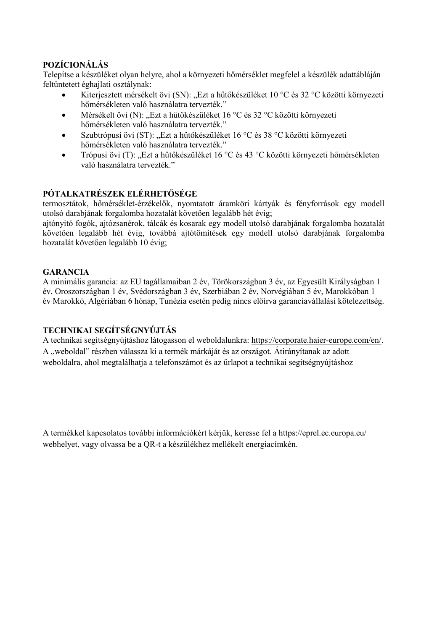# **POZÍCIONÁLÁS**

Telepítse a készüléket olyan helyre, ahol a környezeti hőmérséklet megfelel a készülék adattábláján feltüntetett éghajlati osztálynak:

- Kiterjesztett mérsékelt övi (SN): "Ezt a hűtőkészüléket 10 °C és 32 °C közötti környezeti hőmérsékleten való használatra tervezték."
- Mérsékelt övi (N): "Ezt a hűtőkészüléket 16 °C és 32 °C közötti környezeti hőmérsékleten való használatra tervezték."
- Szubtrópusi övi (ST): "Ezt a hűtőkészüléket 16 °C és 38 °C közötti környezeti hőmérsékleten való használatra tervezték."
- Trópusi övi (T): "Ezt a hűtőkészüléket 16 °C és 43 °C közötti környezeti hőmérsékleten való használatra tervezték."

# **PÓTALKATRÉSZEK ELÉRHETŐSÉGE**

termosztátok, hőmérséklet-érzékelők, nyomtatott áramköri kártyák és fényforrások egy modell utolsó darabjának forgalomba hozatalát követően legalább hét évig;

ajtónyitó fogók, ajtózsanérok, tálcák és kosarak egy modell utolsó darabjának forgalomba hozatalát követően legalább hét évig, továbbá ajtótömítések egy modell utolsó darabjának forgalomba hozatalát követően legalább 10 évig;

## **GARANCIA**

A minimális garancia: az EU tagállamaiban 2 év, Törökországban 3 év, az Egyesült Királyságban 1 év, Oroszországban 1 év, Svédországban 3 év, Szerbiában 2 év, Norvégiában 5 év, Marokkóban 1 év Marokkó, Algériában 6 hónap, Tunézia esetén pedig nincs előírva garanciavállalási kötelezettség.

# **TECHNIKAI SEGÍTSÉGNYÚJTÁS**

A technikai segítségnyújtáshoz látogasson el weboldalunkra: https://corporate.haier-europe.com/en/. A "weboldal" részben válassza ki a termék márkáját és az országot. Átirányítanak az adott weboldalra, ahol megtalálhatja a telefonszámot és az űrlapot a technikai segítségnyújtáshoz

A termékkel kapcsolatos további információkért kérjük, keresse fel a https://eprel.ec.europa.eu/ webhelyet, vagy olvassa be a QR-t a készülékhez mellékelt energiacímkén.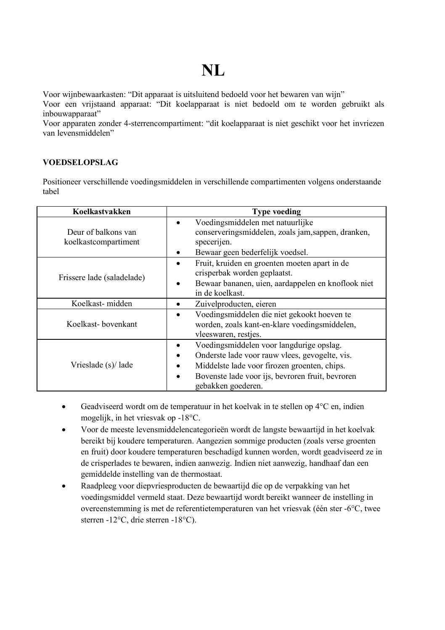# **NL**

Voor wijnbewaarkasten: "Dit apparaat is uitsluitend bedoeld voor het bewaren van wijn"

Voor een vrijstaand apparaat: "Dit koelapparaat is niet bedoeld om te worden gebruikt als inbouwapparaat"

Voor apparaten zonder 4-sterrencompartiment: "dit koelapparaat is niet geschikt voor het invriezen van levensmiddelen"

## **VOEDSELOPSLAG**

Positioneer verschillende voedingsmiddelen in verschillende compartimenten volgens onderstaande tabel

| Koelkastvakken                              | <b>Type voeding</b>                                                                                                                                                                                                  |
|---------------------------------------------|----------------------------------------------------------------------------------------------------------------------------------------------------------------------------------------------------------------------|
| Deur of balkons van<br>koelkastcompartiment | Voedingsmiddelen met natuurlijke<br>conserveringsmiddelen, zoals jam, sappen, dranken,<br>specerijen.<br>Bewaar geen bederfelijk voedsel.<br>٠                                                                       |
| Frissere lade (saladelade)                  | Fruit, kruiden en groenten moeten apart in de<br>crisperbak worden geplaatst.<br>Bewaar bananen, uien, aardappelen en knoflook niet<br>in de koelkast.                                                               |
| Koelkast-midden                             | Zuivelproducten, eieren                                                                                                                                                                                              |
| Koelkast-bovenkant                          | Voedingsmiddelen die niet gekookt hoeven te<br>٠<br>worden, zoals kant-en-klare voedingsmiddelen,<br>vleeswaren, restjes.                                                                                            |
| Vrieslade (s)/ lade                         | Voedingsmiddelen voor langdurige opslag.<br>Onderste lade voor rauw vlees, gevogelte, vis.<br>Middelste lade voor firozen groenten, chips.<br>Bovenste lade voor ijs, bevroren fruit, bevroren<br>gebakken goederen. |

- Geadviseerd wordt om de temperatuur in het koelvak in te stellen op 4°C en, indien mogelijk, in het vriesvak op -18°C.
- Voor de meeste levensmiddelencategorieën wordt de langste bewaartijd in het koelvak bereikt bij koudere temperaturen. Aangezien sommige producten (zoals verse groenten en fruit) door koudere temperaturen beschadigd kunnen worden, wordt geadviseerd ze in de crisperlades te bewaren, indien aanwezig. Indien niet aanwezig, handhaaf dan een gemiddelde instelling van de thermostaat.
- Raadpleeg voor diepvriesproducten de bewaartijd die op de verpakking van het voedingsmiddel vermeld staat. Deze bewaartijd wordt bereikt wanneer de instelling in overeenstemming is met de referentietemperaturen van het vriesvak (één ster -6°C, twee sterren -12°C, drie sterren -18°C).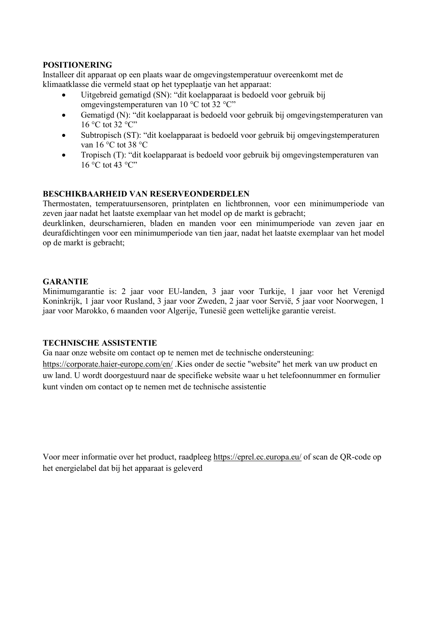## **POSITIONERING**

Installeer dit apparaat op een plaats waar de omgevingstemperatuur overeenkomt met de klimaatklasse die vermeld staat op het typeplaatje van het apparaat:

- Uitgebreid gematigd (SN): "dit koelapparaat is bedoeld voor gebruik bij omgevingstemperaturen van 10 °C tot 32 °C"
- Gematigd (N): "dit koelapparaat is bedoeld voor gebruik bij omgevingstemperaturen van 16 °C tot 32 °C"
- Subtropisch (ST): "dit koelapparaat is bedoeld voor gebruik bij omgevingstemperaturen van 16 °C tot 38 °C
- Tropisch (T): "dit koelapparaat is bedoeld voor gebruik bij omgevingstemperaturen van  $16\,^{\circ}$ C tot 43  $^{\circ}$ C"

## **BESCHIKBAARHEID VAN RESERVEONDERDELEN**

Thermostaten, temperatuursensoren, printplaten en lichtbronnen, voor een minimumperiode van zeven jaar nadat het laatste exemplaar van het model op de markt is gebracht;

deurklinken, deurscharnieren, bladen en manden voor een minimumperiode van zeven jaar en deurafdichtingen voor een minimumperiode van tien jaar, nadat het laatste exemplaar van het model op de markt is gebracht;

## **GARANTIE**

Minimumgarantie is: 2 jaar voor EU-landen, 3 jaar voor Turkije, 1 jaar voor het Verenigd Koninkrijk, 1 jaar voor Rusland, 3 jaar voor Zweden, 2 jaar voor Servië, 5 jaar voor Noorwegen, 1 jaar voor Marokko, 6 maanden voor Algerije, Tunesië geen wettelijke garantie vereist.

## **TECHNISCHE ASSISTENTIE**

Ga naar onze website om contact op te nemen met de technische ondersteuning:

https://corporate.haier-europe.com/en/ .Kies onder de sectie "website" het merk van uw product en uw land. U wordt doorgestuurd naar de specifieke website waar u het telefoonnummer en formulier kunt vinden om contact op te nemen met de technische assistentie

Voor meer informatie over het product, raadpleeg https://eprel.ec.europa.eu/ of scan de QR-code op het energielabel dat bij het apparaat is geleverd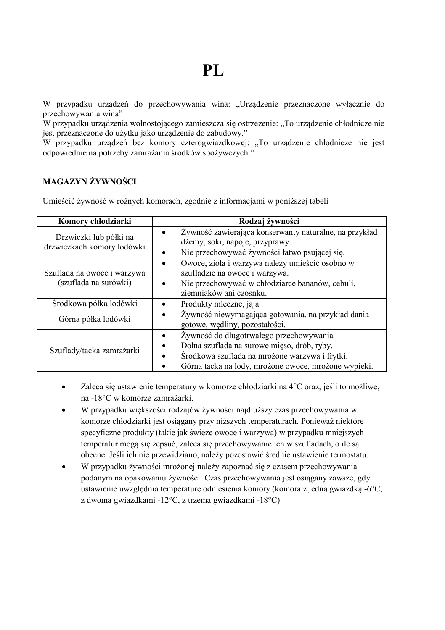W przypadku urządzeń do przechowywania wina: "Urządzenie przeznaczone wyłącznie do przechowywania wina"

W przypadku urządzenia wolnostojącego zamieszcza się ostrzeżenie: "To urządzenie chłodnicze nie jest przeznaczone do użytku jako urządzenie do zabudowy."

W przypadku urządzeń bez komory czterogwiazdkowej: "To urządzenie chłodnicze nie jest odpowiednie na potrzeby zamrażania środków spożywczych."

# **MAGAZYN ŻYWNOŚCI**

Umieścić żywność w różnych komorach, zgodnie z informacjami w poniższej tabeli

| Komory chłodziarki                                   | Rodzaj żywności                                                                                                                                                                                  |
|------------------------------------------------------|--------------------------------------------------------------------------------------------------------------------------------------------------------------------------------------------------|
| Drzwiczki lub półki na<br>drzwiczkach komory lodówki | Żywność zawierająca konserwanty naturalne, na przykład<br>dżemy, soki, napoje, przyprawy.<br>Nie przechowywać żywności łatwo psującej się.                                                       |
| Szuflada na owoce i warzywa<br>(szuflada na surówki) | Owoce, zioła i warzywa należy umieścić osobno w<br>szufladzie na owoce i warzywa.<br>Nie przechowywać w chłodziarce bananów, cebuli,<br>ziemniaków ani czosnku.                                  |
| Srodkowa półka lodówki                               | Produkty mleczne, jaja                                                                                                                                                                           |
| Górna półka lodówki                                  | Żywność niewymagająca gotowania, na przykład dania<br>gotowe, wędliny, pozostałości.                                                                                                             |
| Szuflady/tacka zamrażarki                            | Żywność do długotrwałego przechowywania<br>Dolna szuflada na surowe mięso, drób, ryby.<br>Środkowa szuflada na mrożone warzywa i frytki.<br>Górna tacka na lody, mrożone owoce, mrożone wypieki. |

- Zaleca się ustawienie temperatury w komorze chłodziarki na 4°C oraz, jeśli to możliwe, na -18°C w komorze zamrażarki.
- W przypadku większości rodzajów żywności najdłuższy czas przechowywania w komorze chłodziarki jest osiągany przy niższych temperaturach. Ponieważ niektóre specyficzne produkty (takie jak świeże owoce i warzywa) w przypadku mniejszych temperatur mogą się zepsuć, zaleca się przechowywanie ich w szufladach, o ile są obecne. Jeśli ich nie przewidziano, należy pozostawić średnie ustawienie termostatu.
- W przypadku żywności mrożonej należy zapoznać się z czasem przechowywania podanym na opakowaniu żywności. Czas przechowywania jest osiągany zawsze, gdy ustawienie uwzględnia temperaturę odniesienia komory (komora z jedną gwiazdką -6°C, z dwoma gwiazdkami -12°C, z trzema gwiazdkami -18°C)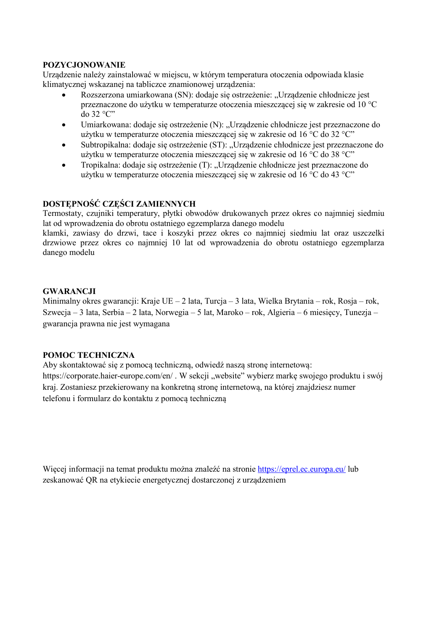## **POZYCJONOWANIE**

Urządzenie należy zainstalować w miejscu, w którym temperatura otoczenia odpowiada klasie klimatycznej wskazanej na tabliczce znamionowej urządzenia:

- Rozszerzona umiarkowana (SN): dodaje się ostrzeżenie: "Urządzenie chłodnicze jest przeznaczone do użytku w temperaturze otoczenia mieszczącej się w zakresie od 10 °C  $d$ o 32 °C"
- Umiarkowana: dodaje się ostrzeżenie (N): "Urządzenie chłodnicze jest przeznaczone do użytku w temperaturze otoczenia mieszczącej się w zakresie od 16 °C do 32 °C"
- Subtropikalna: dodaje się ostrzeżenie (ST): "Urządzenie chłodnicze jest przeznaczone do użytku w temperaturze otoczenia mieszczącej się w zakresie od 16 °C do 38 °C"
- Tropikalna: dodaje się ostrzeżenie (T): "Urządzenie chłodnicze jest przeznaczone do użytku w temperaturze otoczenia mieszczącej się w zakresie od 16 °C do 43 °C"

## **DOSTĘPNOŚĆ CZĘŚCI ZAMIENNYCH**

Termostaty, czujniki temperatury, płytki obwodów drukowanych przez okres co najmniej siedmiu lat od wprowadzenia do obrotu ostatniego egzemplarza danego modelu

klamki, zawiasy do drzwi, tace i koszyki przez okres co najmniej siedmiu lat oraz uszczelki drzwiowe przez okres co najmniej 10 lat od wprowadzenia do obrotu ostatniego egzemplarza danego modelu

# **GWARANCJI**

Minimalny okres gwarancji: Kraje UE – 2 lata, Turcja – 3 lata, Wielka Brytania – rok, Rosja – rok, Szwecja – 3 lata, Serbia – 2 lata, Norwegia – 5 lat, Maroko – rok, Algieria – 6 miesięcy, Tunezja – gwarancja prawna nie jest wymagana

## **POMOC TECHNICZNA**

Aby skontaktować się z pomocą techniczną, odwiedź naszą stronę internetową: https://corporate.haier-europe.com/en/ . W sekcji ..website" wybierz marke swojego produktu i swój kraj. Zostaniesz przekierowany na konkretną stronę internetową, na której znajdziesz numer telefonu i formularz do kontaktu z pomocą techniczną

Więcej informacji na temat produktu można znaleźć na stronie https://eprel.ec.europa.eu/ lub zeskanować QR na etykiecie energetycznej dostarczonej z urządzeniem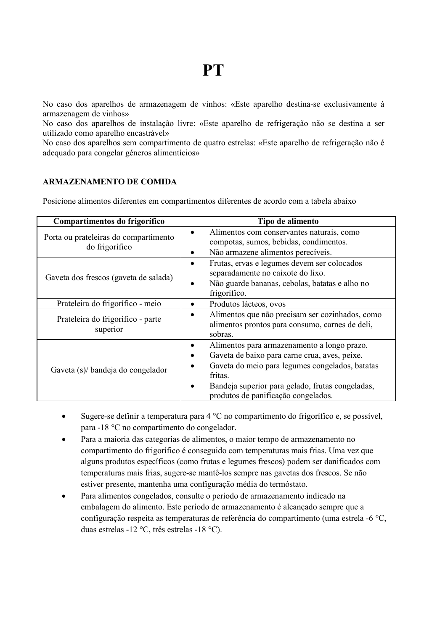No caso dos aparelhos de armazenagem de vinhos: «Este aparelho destina-se exclusivamente à armazenagem de vinhos»

No caso dos aparelhos de instalação livre: «Este aparelho de refrigeração não se destina a ser utilizado como aparelho encastrável»

No caso dos aparelhos sem compartimento de quatro estrelas: «Este aparelho de refrigeração não é adequado para congelar géneros alimentícios»

## **ARMAZENAMENTO DE COMIDA**

Posicione alimentos diferentes em compartimentos diferentes de acordo com a tabela abaixo

| Compartimentos do frigorífico                           | Tipo de alimento                                                                                                                                                                                                                                           |
|---------------------------------------------------------|------------------------------------------------------------------------------------------------------------------------------------------------------------------------------------------------------------------------------------------------------------|
| Porta ou prateleiras do compartimento<br>do frigorífico | Alimentos com conservantes naturais, como<br>٠<br>compotas, sumos, bebidas, condimentos.<br>Não armazene alimentos perecíveis.<br>٠                                                                                                                        |
| Gaveta dos frescos (gaveta de salada)                   | Frutas, ervas e legumes devem ser colocados<br>٠<br>separadamente no caixote do lixo.<br>Não guarde bananas, cebolas, batatas e alho no<br>٠<br>frigorífico.                                                                                               |
| Prateleira do frigorífico - meio                        | Produtos lácteos, ovos<br>٠                                                                                                                                                                                                                                |
| Prateleira do frigorífico - parte<br>superior           | Alimentos que não precisam ser cozinhados, como<br>alimentos prontos para consumo, carnes de deli,<br>sobras.                                                                                                                                              |
| Gaveta (s)/ bandeja do congelador                       | Alimentos para armazenamento a longo prazo.<br>٠<br>Gaveta de baixo para carne crua, aves, peixe.<br>Gaveta do meio para legumes congelados, batatas<br>fritas.<br>Bandeja superior para gelado, frutas congeladas,<br>produtos de panificação congelados. |

- Sugere-se definir a temperatura para 4 °C no compartimento do frigorífico e, se possível, para -18 °C no compartimento do congelador.
- Para a maioria das categorias de alimentos, o maior tempo de armazenamento no compartimento do frigorífico é conseguido com temperaturas mais frias. Uma vez que alguns produtos específicos (como frutas e legumes frescos) podem ser danificados com temperaturas mais frias, sugere-se mantê-los sempre nas gavetas dos frescos. Se não estiver presente, mantenha uma configuração média do termóstato.
- Para alimentos congelados, consulte o período de armazenamento indicado na embalagem do alimento. Este período de armazenamento é alcançado sempre que a configuração respeita as temperaturas de referência do compartimento (uma estrela -6 °C, duas estrelas -12 °C, três estrelas -18 °C).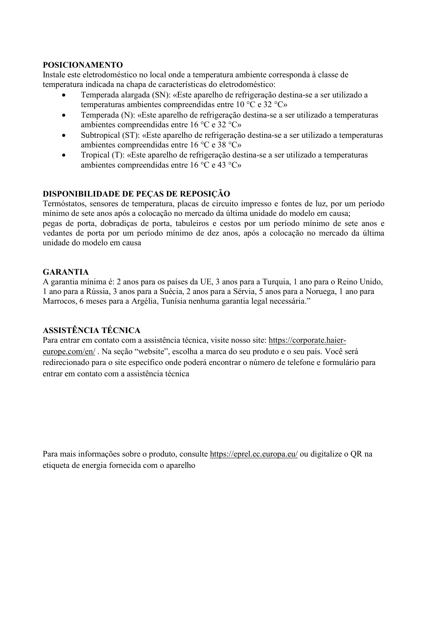# **POSICIONAMENTO**

Instale este eletrodoméstico no local onde a temperatura ambiente corresponda à classe de temperatura indicada na chapa de características do eletrodoméstico:

- Temperada alargada (SN): «Este aparelho de refrigeração destina-se a ser utilizado a temperaturas ambientes compreendidas entre 10 °C e 32 °C»
- Temperada (N): «Este aparelho de refrigeração destina-se a ser utilizado a temperaturas ambientes compreendidas entre 16 °C e 32 °C»
- Subtropical (ST): «Este aparelho de refrigeração destina-se a ser utilizado a temperaturas ambientes compreendidas entre 16 °C e 38 °C»
- Tropical (T): «Este aparelho de refrigeração destina-se a ser utilizado a temperaturas ambientes compreendidas entre 16 °C e 43 °C»

## **DISPONIBILIDADE DE PEÇAS DE REPOSIÇÃO**

Termóstatos, sensores de temperatura, placas de circuito impresso e fontes de luz, por um período mínimo de sete anos após a colocação no mercado da última unidade do modelo em causa; pegas de porta, dobradiças de porta, tabuleiros e cestos por um período mínimo de sete anos e vedantes de porta por um período mínimo de dez anos, após a colocação no mercado da última unidade do modelo em causa

## **GARANTIA**

A garantia mínima é: 2 anos para os países da UE, 3 anos para a Turquia, 1 ano para o Reino Unido, 1 ano para a Rússia, 3 anos para a Suécia, 2 anos para a Sérvia, 5 anos para a Noruega, 1 ano para Marrocos, 6 meses para a Argélia, Tunísia nenhuma garantia legal necessária."

# **ASSISTÊNCIA TÉCNICA**

Para entrar em contato com a assistência técnica, visite nosso site: https://corporate.haiereurope.com/en/ . Na seção "website", escolha a marca do seu produto e o seu país. Você será redirecionado para o site específico onde poderá encontrar o número de telefone e formulário para entrar em contato com a assistência técnica

Para mais informações sobre o produto, consulte https://eprel.ec.europa.eu/ ou digitalize o QR na etiqueta de energia fornecida com o aparelho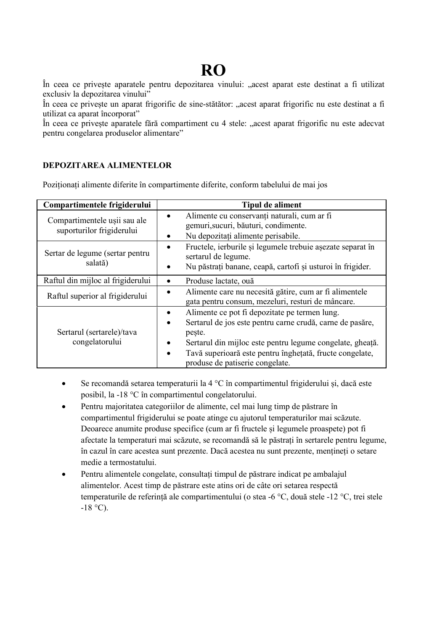# **RO**

În ceea ce priveste aparatele pentru depozitarea vinului: "acest aparat este destinat a fi utilizat exclusiv la depozitarea vinului"

În ceea ce privește un aparat frigorific de sine-stătător: "acest aparat frigorific nu este destinat a fi utilizat ca aparat încorporat"

În ceea ce priveste aparatele fără compartiment cu 4 stele: "acest aparat frigorific nu este adecvat pentru congelarea produselor alimentare"

## **DEPOZITAREA ALIMENTELOR**

Poziționați alimente diferite în compartimente diferite, conform tabelului de mai jos

| Compartimentele frigiderului                              | <b>Tipul de aliment</b>                                                                                                                                                                                                                                                          |
|-----------------------------------------------------------|----------------------------------------------------------------------------------------------------------------------------------------------------------------------------------------------------------------------------------------------------------------------------------|
| Compartimentele usii sau ale<br>suporturilor frigiderului | Alimente cu conservanti naturali, cum ar fi<br>gemuri, sucuri, băuturi, condimente.<br>Nu depozitați alimente perisabile.<br>٠                                                                                                                                                   |
| Sertar de legume (sertar pentru<br>salată)                | Fructele, ierburile și legumele trebuie așezate separat în<br>٠<br>sertarul de legume.<br>Nu păstrați banane, ceapă, cartofi și usturoi în frigider.                                                                                                                             |
| Raftul din mijloc al frigiderului                         | Produse lactate, ouă                                                                                                                                                                                                                                                             |
| Raftul superior al frigiderului                           | Alimente care nu necesită gătire, cum ar fi alimentele<br>gata pentru consum, mezeluri, resturi de mâncare.                                                                                                                                                                      |
| Sertarul (sertarele)/tava<br>congelatorului               | Alimente ce pot fi depozitate pe termen lung.<br>Sertarul de jos este pentru carne crudă, carne de pasăre,<br>peste.<br>Sertarul din mijloc este pentru legume congelate, gheață.<br>Tavă superioară este pentru înghețată, fructe congelate,<br>produse de patiserie congelate. |

- Se recomandă setarea temperaturii la 4 °C în compartimentul frigiderului și, dacă este posibil, la -18 °C în compartimentul congelatorului.
- Pentru majoritatea categoriilor de alimente, cel mai lung timp de păstrare în compartimentul frigiderului se poate atinge cu ajutorul temperaturilor mai scăzute. Deoarece anumite produse specifice (cum ar fi fructele și legumele proaspete) pot fi afectate la temperaturi mai scăzute, se recomandă să le păstrați în sertarele pentru legume, în cazul în care acestea sunt prezente. Dacă acestea nu sunt prezente, mențineți o setare medie a termostatului.
- Pentru alimentele congelate, consultați timpul de păstrare indicat pe ambalajul alimentelor. Acest timp de păstrare este atins ori de câte ori setarea respectă temperaturile de referință ale compartimentului (o stea -6 °C, două stele -12 °C, trei stele  $-18$  °C).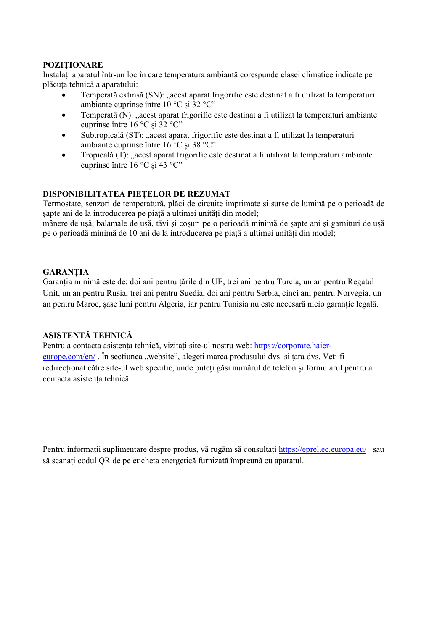## **POZIȚIONARE**

Instalați aparatul într-un loc în care temperatura ambiantă corespunde clasei climatice indicate pe plăcuța tehnică a aparatului:

- Temperată extinsă (SN): "acest aparat frigorific este destinat a fi utilizat la temperaturi ambiante cuprinse între 10 °C și 32 °C"
- $\bullet$  Temperată (N): ... acest aparat frigorific este destinat a fi utilizat la temperaturi ambiante cuprinse între 16 °C și 32 °C"
- Subtropicală (ST): "acest aparat frigorific este destinat a fi utilizat la temperaturi ambiante cuprinse între 16 °C și 38 °C"
- Tropicală (T): "acest aparat frigorific este destinat a fi utilizat la temperaturi ambiante cuprinse între 16 °C și 43 °C"

## **DISPONIBILITATEA PIEȚELOR DE REZUMAT**

Termostate, senzori de temperatură, plăci de circuite imprimate și surse de lumină pe o perioadă de șapte ani de la introducerea pe piață a ultimei unități din model;

mânere de ușă, balamale de ușă, tăvi și coșuri pe o perioadă minimă de șapte ani și garnituri de ușă pe o perioadă minimă de 10 ani de la introducerea pe piață a ultimei unități din model;

## **GARANȚIA**

Garanția minimă este de: doi ani pentru țările din UE, trei ani pentru Turcia, un an pentru Regatul Unit, un an pentru Rusia, trei ani pentru Suedia, doi ani pentru Serbia, cinci ani pentru Norvegia, un an pentru Maroc, șase luni pentru Algeria, iar pentru Tunisia nu este necesară nicio garanție legală.

## **ASISTENȚĂ TEHNICĂ**

Pentru a contacta asistenta tehnică, vizitati site-ul nostru web: https://corporate.haiereurope.com/en/ . În sectiunea "website", alegeți marca produsului dvs. și țara dvs. Veți fi redirecționat către site-ul web specific, unde puteți găsi numărul de telefon și formularul pentru a contacta asistența tehnică

Pentru informații suplimentare despre produs, vă rugăm să consultați https://eprel.ec.europa.eu/ sau să scanați codul QR de pe eticheta energetică furnizată împreună cu aparatul.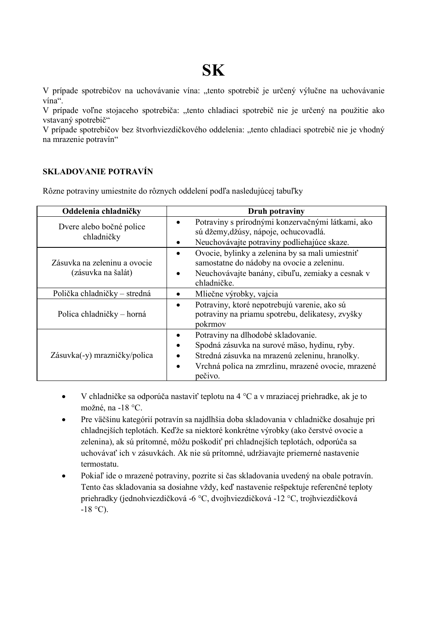# **SK**

V prípade spotrebičov na uchovávanie vína: "tento spotrebič je určený výlučne na uchovávanie vína".

V prípade voľne stojaceho spotrebiča: "tento chladiaci spotrebič nie je určený na použitie ako vstavaný spotrebič"

V prípade spotrebičov bez štvorhviezdičkového oddelenia: "tento chladiaci spotrebič nie je vhodný na mrazenie potravín"

## **SKLADOVANIE POTRAVÍN**

Rôzne potraviny umiestnite do rôznych oddelení podľa nasledujúcej tabuľky

| Oddelenia chladničky                               | Druh potraviny                                                                                                                                                                                             |
|----------------------------------------------------|------------------------------------------------------------------------------------------------------------------------------------------------------------------------------------------------------------|
| Dvere alebo bočné police<br>chladničky             | Potraviny s prírodnými konzervačnými látkami, ako<br>sú džemy, džúsy, nápoje, ochucovadlá.<br>Neuchovávajte potraviny podliehajúce skaze.<br>٠                                                             |
| Zásuvka na zeleninu a ovocie<br>(zásuvka na šalát) | Ovocie, bylinky a zelenina by sa mali umiestniť<br>٠<br>samostatne do nádoby na ovocie a zeleninu.<br>Neuchovávajte banány, cibuľu, zemiaky a cesnak v<br>chladničke.                                      |
| Polička chladničky – stredná                       | Mliečne výrobky, vajcia                                                                                                                                                                                    |
| Polica chladničky – horná                          | Potraviny, ktoré nepotrebujú varenie, ako sú<br>potraviny na priamu spotrebu, delikatesy, zvyšky<br>pokrmov                                                                                                |
| Zásuvka(-y) mrazničky/polica                       | Potraviny na dlhodobé skladovanie.<br>Spodná zásuvka na surové mäso, hydinu, ryby.<br>Stredná zásuvka na mrazenú zeleninu, hranolky.<br>Vrchná polica na zmrzlinu, mrazené ovocie, mrazené<br>٠<br>pečivo. |

- V chladničke sa odporúča nastaviť teplotu na 4 °C a v mraziacej priehradke, ak je to možné, na -18 °C.
- Pre väčšinu kategórií potravín sa najdlhšia doba skladovania v chladničke dosahuje pri chladnejších teplotách. Keďže sa niektoré konkrétne výrobky (ako čerstvé ovocie a zelenina), ak sú prítomné, môžu poškodiť pri chladnejších teplotách, odporúča sa uchovávať ich v zásuvkách. Ak nie sú prítomné, udržiavajte priemerné nastavenie termostatu.
- Pokiaľ ide o mrazené potraviny, pozrite si čas skladovania uvedený na obale potravín. Tento čas skladovania sa dosiahne vždy, keď nastavenie rešpektuje referenčné teploty priehradky (jednohviezdičková -6 °C, dvojhviezdičková -12 °C, trojhviezdičková  $-18$  °C).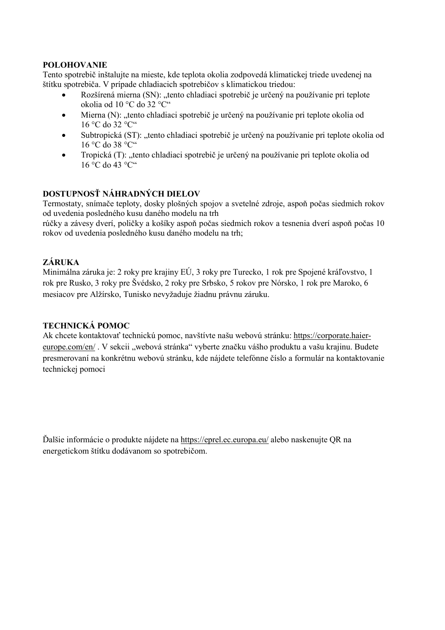## **POLOHOVANIE**

Tento spotrebič inštalujte na mieste, kde teplota okolia zodpovedá klimatickej triede uvedenej na štítku spotrebiča. V prípade chladiacich spotrebičov s klimatickou triedou:

- Rozšírená mierna (SN): "tento chladiaci spotrebič je určený na používanie pri teplote okolia od 10 °C do 32 °C"
- Mierna (N): "tento chladiaci spotrebič je určený na používanie pri teplote okolia od 16 °C do 32 °C"
- Subtropická (ST): "tento chladiaci spotrebič je určený na používanie pri teplote okolia od  $16 \degree$ C do 38  $\degree$ C"
- Tropická (T): tento chladiaci spotrebič je určený na používanie pri teplote okolia od  $16\,^{\circ}$ C do 43  $^{\circ}$ C"

# **DOSTUPNOSŤ NÁHRADNÝCH DIELOV**

Termostaty, snímače teploty, dosky plošných spojov a svetelné zdroje, aspoň počas siedmich rokov od uvedenia posledného kusu daného modelu na trh

rúčky a závesy dverí, poličky a košíky aspoň počas siedmich rokov a tesnenia dverí aspoň počas 10 rokov od uvedenia posledného kusu daného modelu na trh;

# **ZÁRUKA**

Minimálna záruka je: 2 roky pre krajiny EÚ, 3 roky pre Turecko, 1 rok pre Spojené kráľovstvo, 1 rok pre Rusko, 3 roky pre Švédsko, 2 roky pre Srbsko, 5 rokov pre Nórsko, 1 rok pre Maroko, 6 mesiacov pre Alžírsko, Tunisko nevyžaduje žiadnu právnu záruku.

## **TECHNICKÁ POMOC**

Ak chcete kontaktovať technickú pomoc, navštívte našu webovú stránku: https://corporate.haiereurope.com/en/. V sekcii "webová stránka" vyberte značku vášho produktu a vašu krajinu. Budete presmerovaní na konkrétnu webovú stránku, kde nájdete telefónne číslo a formulár na kontaktovanie technickej pomoci

Ďalšie informácie o produkte nájdete na https://eprel.ec.europa.eu/ alebo naskenujte QR na energetickom štítku dodávanom so spotrebičom.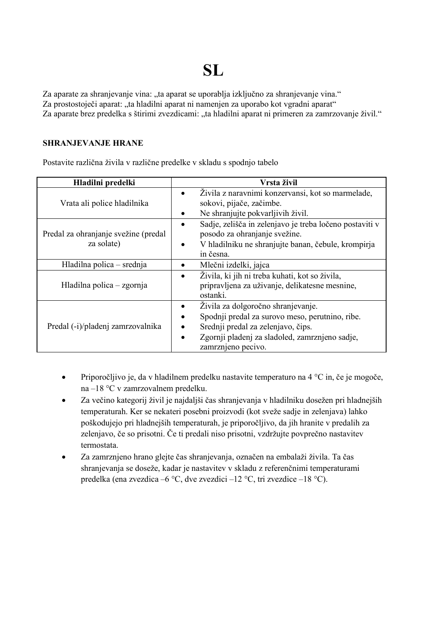# **SL**

Za aparate za shranjevanje vina: ..ta aparat se uporablja izključno za shranjevanje vina." Za prostostoječi aparat: "ta hladilni aparat ni namenjen za uporabo kot vgradni aparat" Za aparate brez predelka s štirimi zvezdicami: "ta hladilni aparat ni primeren za zamrzovanje živil."

## **SHRANJEVANJE HRANE**

Postavite različna živila v različne predelke v skladu s spodnjo tabelo

| Hladilni predelki                                  | Vrsta živil                                                                                                                                                                                         |
|----------------------------------------------------|-----------------------------------------------------------------------------------------------------------------------------------------------------------------------------------------------------|
| Vrata ali police hladilnika                        | Živila z naravnimi konzervansi, kot so marmelade,<br>sokovi, pijače, začimbe.<br>Ne shranjujte pokvarljivih živil.                                                                                  |
| Predal za ohranjanje svežine (predal<br>za solate) | Sadje, zelišča in zelenjavo je treba ločeno postaviti v<br>posodo za ohranjanje svežine.<br>V hladilniku ne shranjujte banan, čebule, krompirja<br>in česna.                                        |
| Hladilna polica – srednja                          | Mlečni izdelki, jajca                                                                                                                                                                               |
| Hladilna polica – zgornja                          | Živila, ki jih ni treba kuhati, kot so živila,<br>pripravljena za uživanje, delikatesne mesnine,<br>ostanki.                                                                                        |
| Predal (-i)/pladenj zamrzovalnika                  | Živila za dolgoročno shranjevanje.<br>Spodnji predal za surovo meso, perutnino, ribe.<br>Srednji predal za zelenjavo, čips.<br>Zgornji pladenj za sladoled, zamrznjeno sadje,<br>zamrznieno pecivo. |

- Priporočljivo je, da v hladilnem predelku nastavite temperaturo na 4 °C in, če je mogoče, na –18 °C v zamrzovalnem predelku.
- Za večino kategorij živil je najdaljši čas shranjevanja v hladilniku dosežen pri hladnejših temperaturah. Ker se nekateri posebni proizvodi (kot sveže sadje in zelenjava) lahko poškodujejo pri hladnejših temperaturah, je priporočljivo, da jih hranite v predalih za zelenjavo, če so prisotni. Če ti predali niso prisotni, vzdržujte povprečno nastavitev termostata.
- Za zamrznjeno hrano glejte čas shranjevanja, označen na embalaži živila. Ta čas shranjevanja se doseže, kadar je nastavitev v skladu z referenčnimi temperaturami predelka (ena zvezdica –6 °C, dve zvezdici –12 °C, tri zvezdice –18 °C).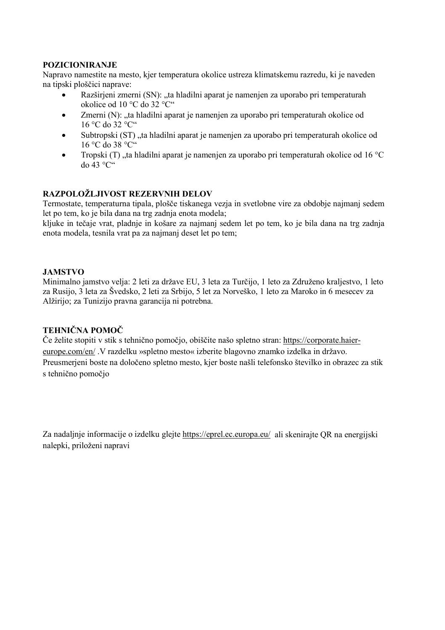## **POZICIONIRANJE**

Napravo namestite na mesto, kjer temperatura okolice ustreza klimatskemu razredu, ki je naveden na tipski ploščici naprave:

- Razširjeni zmerni (SN): "ta hladilni aparat je namenjen za uporabo pri temperaturah okolice od 10 °C do 32 °C"
- Zmerni (N): ..ta hladilni aparat je namenjen za uporabo pri temperaturah okolice od 16 °C do 32 °C"
- Subtropski (ST), ta hladilni aparat je namenjen za uporabo pri temperaturah okolice od 16 °C do 38 °C"
- Tropski  $(T)$  ta hladilni aparat je namenjen za uporabo pri temperaturah okolice od 16 °C  $d_0$  43 °C"

# **RAZPOLOŽLJIVOST REZERVNIH DELOV**

Termostate, temperaturna tipala, plošče tiskanega vezja in svetlobne vire za obdobje najmanj sedem let po tem, ko je bila dana na trg zadnja enota modela;

kljuke in tečaje vrat, pladnje in košare za najmanj sedem let po tem, ko je bila dana na trg zadnja enota modela, tesnila vrat pa za najmanj deset let po tem;

## **JAMSTVO**

Minimalno jamstvo velja: 2 leti za države EU, 3 leta za Turčijo, 1 leto za Združeno kraljestvo, 1 leto za Rusijo, 3 leta za Švedsko, 2 leti za Srbijo, 5 let za Norveško, 1 leto za Maroko in 6 mesecev za Alžirijo; za Tunizijo pravna garancija ni potrebna.

## **TEHNIČNA POMOČ**

Če želite stopiti v stik s tehnično pomočjo, obiščite našo spletno stran: https://corporate.haiereurope.com/en/ .V razdelku »spletno mesto« izberite blagovno znamko izdelka in državo. Preusmerjeni boste na določeno spletno mesto, kjer boste našli telefonsko številko in obrazec za stik s tehnično pomočjo

Za nadaljnje informacije o izdelku glejte https://eprel.ec.europa.eu/ ali skenirajte QR na energijski nalepki, priloženi napravi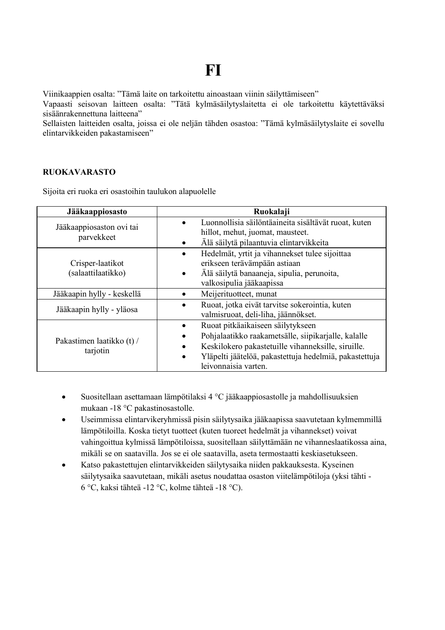**FI**

Viinikaappien osalta: "Tämä laite on tarkoitettu ainoastaan viinin säilyttämiseen"

Vapaasti seisovan laitteen osalta: "Tätä kylmäsäilytyslaitetta ei ole tarkoitettu käytettäväksi sisäänrakennettuna laitteena"

Sellaisten laitteiden osalta, joissa ei ole neljän tähden osastoa: "Tämä kylmäsäilytyslaite ei sovellu elintarvikkeiden pakastamiseen"

## **RUOKAVARASTO**

Sijoita eri ruoka eri osastoihin taulukon alapuolelle

| Jääkaappiosasto                        | Ruokalaji                                                                                                                                                                                                                                     |
|----------------------------------------|-----------------------------------------------------------------------------------------------------------------------------------------------------------------------------------------------------------------------------------------------|
| Jääkaappiosaston ovi tai<br>parvekkeet | Luonnollisia säilöntäaineita sisältävät ruoat, kuten<br>hillot, mehut, juomat, mausteet.<br>Älä säilytä pilaantuvia elintarvikkeita                                                                                                           |
| Crisper-laatikot<br>(salaattilaatikko) | Hedelmät, yrtit ja vihannekset tulee sijoittaa<br>erikseen terävämpään astiaan<br>Älä säilytä banaaneja, sipulia, perunoita,<br>$\bullet$<br>valkosipulia jääkaapissa                                                                         |
| Jääkaapin hylly - keskellä             | Meijerituotteet, munat                                                                                                                                                                                                                        |
| Jääkaapin hylly - yläosa               | Ruoat, jotka eivät tarvitse sokerointia, kuten<br>valmisruoat, deli-liha, jäännökset.                                                                                                                                                         |
| Pakastimen laatikko (t) /<br>tarjotin  | Ruoat pitkäaikaiseen säilytykseen<br>Pohjalaatikko raakametsälle, siipikarjalle, kalalle<br>Keskilokero pakastetuille vihanneksille, siruille.<br>Yläpelti jäätelöä, pakastettuja hedelmiä, pakastettuja<br>$\bullet$<br>leivonnaisia varten. |

- Suositellaan asettamaan lämpötilaksi 4 °C jääkaappiosastolle ja mahdollisuuksien mukaan -18 °C pakastinosastolle.
- Useimmissa elintarvikeryhmissä pisin säilytysaika jääkaapissa saavutetaan kylmemmillä lämpötiloilla. Koska tietyt tuotteet (kuten tuoreet hedelmät ja vihannekset) voivat vahingoittua kylmissä lämpötiloissa, suositellaan säilyttämään ne vihanneslaatikossa aina, mikäli se on saatavilla. Jos se ei ole saatavilla, aseta termostaatti keskiasetukseen.
- Katso pakastettujen elintarvikkeiden säilytysaika niiden pakkauksesta. Kyseinen säilytysaika saavutetaan, mikäli asetus noudattaa osaston viitelämpötiloja (yksi tähti - 6 °C, kaksi tähteä -12 °C, kolme tähteä -18 °C).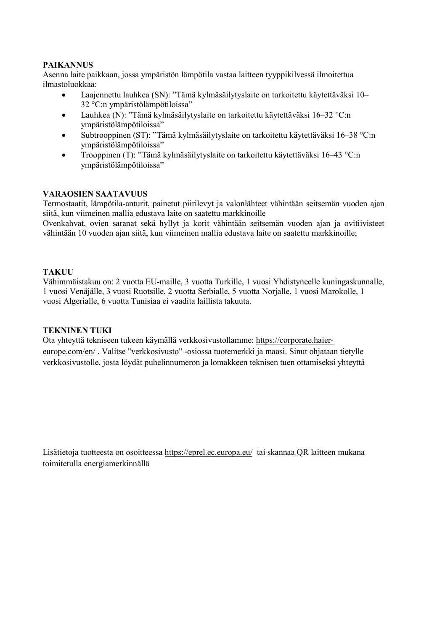## **PAIKANNUS**

Asenna laite paikkaan, jossa ympäristön lämpötila vastaa laitteen tyyppikilvessä ilmoitettua ilmastoluokkaa:

- Laajennettu lauhkea (SN): "Tämä kylmäsäilytyslaite on tarkoitettu käytettäväksi 10– 32 °C:n ympäristölämpötiloissa"
- Lauhkea (N): "Tämä kylmäsäilytyslaite on tarkoitettu käytettäväksi 16–32 °C:n ympäristölämpötiloissa"
- Subtrooppinen (ST): "Tämä kylmäsäilytyslaite on tarkoitettu käytettäväksi 16–38 °C:n ympäristölämpötiloissa"
- Trooppinen (T): "Tämä kylmäsäilytyslaite on tarkoitettu käytettäväksi 16–43 °C:n ympäristölämpötiloissa"

## **VARAOSIEN SAATAVUUS**

Termostaatit, lämpötila-anturit, painetut piirilevyt ja valonlähteet vähintään seitsemän vuoden ajan siitä, kun viimeinen mallia edustava laite on saatettu markkinoille

Ovenkahvat, ovien saranat sekä hyllyt ja korit vähintään seitsemän vuoden ajan ja ovitiivisteet vähintään 10 vuoden ajan siitä, kun viimeinen mallia edustava laite on saatettu markkinoille;

## **TAKUU**

Vähimmäistakuu on: 2 vuotta EU-maille, 3 vuotta Turkille, 1 vuosi Yhdistyneelle kuningaskunnalle, 1 vuosi Venäjälle, 3 vuosi Ruotsille, 2 vuotta Serbialle, 5 vuotta Norjalle, 1 vuosi Marokolle, 1 vuosi Algerialle, 6 vuotta Tunisiaa ei vaadita laillista takuuta.

### **TEKNINEN TUKI**

Ota yhteyttä tekniseen tukeen käymällä verkkosivustollamme: https://corporate.haiereurope.com/en/ . Valitse "verkkosivusto" -osiossa tuotemerkki ja maasi. Sinut ohjataan tietylle verkkosivustolle, josta löydät puhelinnumeron ja lomakkeen teknisen tuen ottamiseksi yhteyttä

Lisätietoja tuotteesta on osoitteessa https://eprel.ec.europa.eu/ tai skannaa QR laitteen mukana toimitetulla energiamerkinnällä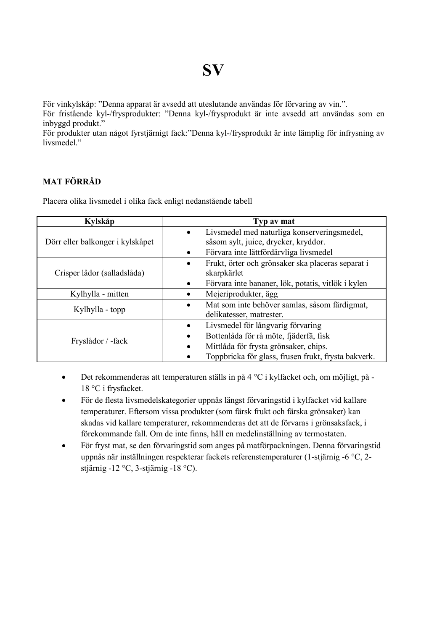För vinkylskåp: "Denna apparat är avsedd att uteslutande användas för förvaring av vin.".

För fristående kyl-/frysprodukter: "Denna kyl-/frysprodukt är inte avsedd att användas som en inbyggd produkt."

För produkter utan något fyrstjärnigt fack:"Denna kyl-/frysprodukt är inte lämplig för infrysning av livsmedel."

# **MAT FÖRRÅD**

Placera olika livsmedel i olika fack enligt nedanstående tabell

| Kylskåp                          | Typ av mat                                                     |
|----------------------------------|----------------------------------------------------------------|
| Dörr eller balkonger i kylskåpet | Livsmedel med naturliga konserveringsmedel,<br>$\bullet$       |
|                                  | såsom sylt, juice, drycker, kryddor.                           |
|                                  | Förvara inte lättfördärvliga livsmedel<br>$\bullet$            |
| Crisper lådor (salladslåda)      | Frukt, örter och grönsaker ska placeras separat i<br>$\bullet$ |
|                                  | skarpkärlet                                                    |
|                                  | Förvara inte bananer, lök, potatis, vitlök i kylen             |
| Kylhylla - mitten                | Mejeriprodukter, ägg                                           |
| Kylhylla - topp                  | Mat som inte behöver samlas, såsom färdigmat,<br>٠             |
|                                  | delikatesser, matrester.                                       |
| Fryslådor / -fack                | Livsmedel för långvarig förvaring                              |
|                                  | Bottenlåda för rå möte, fjäderfä, fisk<br>٠                    |
|                                  | Mittlåda för frysta grönsaker, chips.<br>$\bullet$             |
|                                  | Toppbricka för glass, frusen frukt, frysta bakverk.            |

- Det rekommenderas att temperaturen ställs in på 4 °C i kylfacket och, om möjligt, på 18 °C i frysfacket.
- För de flesta livsmedelskategorier uppnås längst förvaringstid i kylfacket vid kallare temperaturer. Eftersom vissa produkter (som färsk frukt och färska grönsaker) kan skadas vid kallare temperaturer, rekommenderas det att de förvaras i grönsaksfack, i förekommande fall. Om de inte finns, håll en medelinställning av termostaten.
- För fryst mat, se den förvaringstid som anges på matförpackningen. Denna förvaringstid uppnås när inställningen respekterar fackets referenstemperaturer (1-stjärnig -6 °C, 2 stjärnig -12 °C, 3-stjärnig -18 °C).